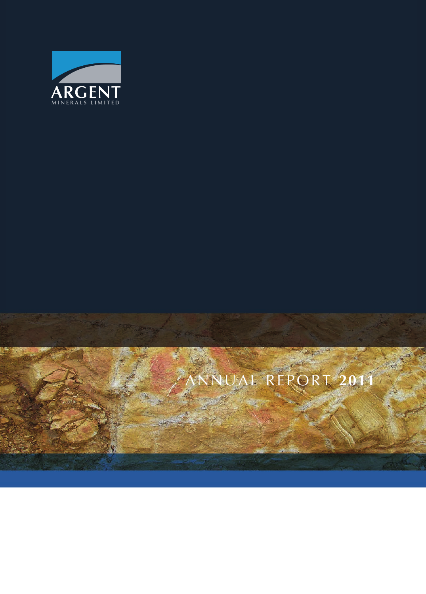

# ANNUAL REPORT **2011**

**WENG**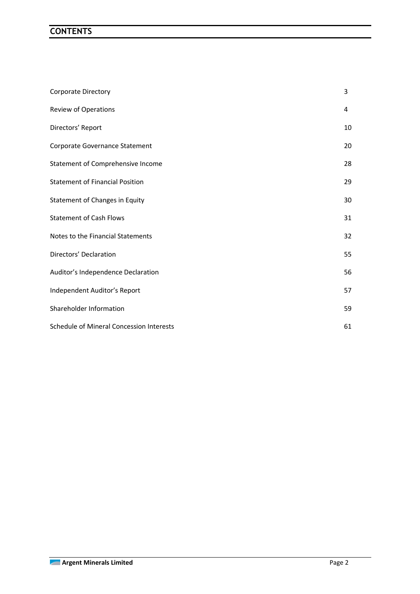## **CONTENTS**

| <b>Corporate Directory</b>               | 3  |
|------------------------------------------|----|
| Review of Operations                     | 4  |
| Directors' Report                        | 10 |
| Corporate Governance Statement           | 20 |
| Statement of Comprehensive Income        | 28 |
| <b>Statement of Financial Position</b>   | 29 |
| Statement of Changes in Equity           | 30 |
| <b>Statement of Cash Flows</b>           | 31 |
| Notes to the Financial Statements        | 32 |
| Directors' Declaration                   | 55 |
| Auditor's Independence Declaration       | 56 |
| Independent Auditor's Report             | 57 |
| Shareholder Information                  | 59 |
| Schedule of Mineral Concession Interests | 61 |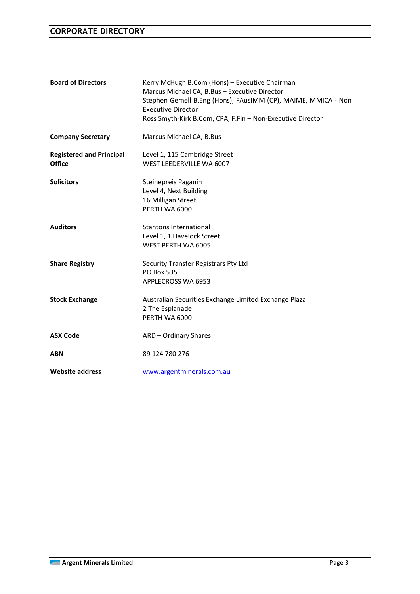## **CORPORATE DIRECTORY**

| <b>Board of Directors</b>                        | Kerry McHugh B.Com (Hons) - Executive Chairman<br>Marcus Michael CA, B.Bus - Executive Director<br>Stephen Gemell B.Eng (Hons), FAusIMM (CP), MAIME, MMICA - Non<br><b>Executive Director</b><br>Ross Smyth-Kirk B.Com, CPA, F.Fin - Non-Executive Director |
|--------------------------------------------------|-------------------------------------------------------------------------------------------------------------------------------------------------------------------------------------------------------------------------------------------------------------|
| <b>Company Secretary</b>                         | Marcus Michael CA, B.Bus                                                                                                                                                                                                                                    |
| <b>Registered and Principal</b><br><b>Office</b> | Level 1, 115 Cambridge Street<br>WEST LEEDERVILLE WA 6007                                                                                                                                                                                                   |
| <b>Solicitors</b>                                | Steinepreis Paganin<br>Level 4, Next Building<br>16 Milligan Street<br>PERTH WA 6000                                                                                                                                                                        |
| <b>Auditors</b>                                  | <b>Stantons International</b><br>Level 1, 1 Havelock Street<br>WEST PERTH WA 6005                                                                                                                                                                           |
| <b>Share Registry</b>                            | Security Transfer Registrars Pty Ltd<br><b>PO Box 535</b><br>APPLECROSS WA 6953                                                                                                                                                                             |
| <b>Stock Exchange</b>                            | Australian Securities Exchange Limited Exchange Plaza<br>2 The Esplanade<br>PERTH WA 6000                                                                                                                                                                   |
| <b>ASX Code</b>                                  | ARD - Ordinary Shares                                                                                                                                                                                                                                       |
| <b>ABN</b>                                       | 89 124 780 276                                                                                                                                                                                                                                              |
| <b>Website address</b>                           | www.argentminerals.com.au                                                                                                                                                                                                                                   |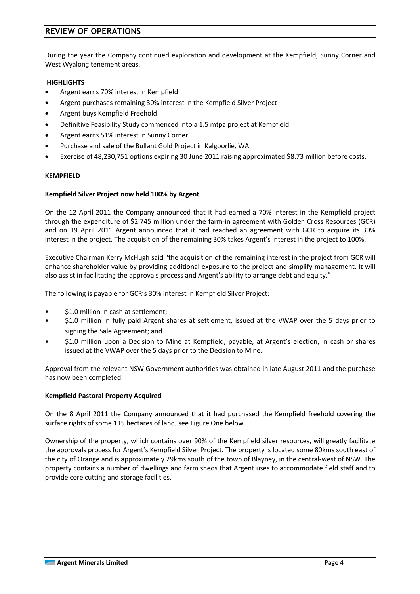## **REVIEW OF OPERATIONS**

During the year the Company continued exploration and development at the Kempfield, Sunny Corner and West Wyalong tenement areas.

#### **HIGHLIGHTS**

- Argent earns 70% interest in Kempfield
- Argent purchases remaining 30% interest in the Kempfield Silver Project
- Argent buys Kempfield Freehold
- Definitive Feasibility Study commenced into a 1.5 mtpa project at Kempfield
- Argent earns 51% interest in Sunny Corner
- Purchase and sale of the Bullant Gold Project in Kalgoorlie, WA.
- Exercise of 48,230,751 options expiring 30 June 2011 raising approximated \$8.73 million before costs.

#### **KEMPFIELD**

#### **Kempfield Silver Project now held 100% by Argent**

On the 12 April 2011 the Company announced that it had earned a 70% interest in the Kempfield project through the expenditure of \$2.745 million under the farm-in agreement with Golden Cross Resources (GCR) and on 19 April 2011 Argent announced that it had reached an agreement with GCR to acquire its 30% interest in the project. The acquisition of the remaining 30% takes Argent's interest in the project to 100%.

Executive Chairman Kerry McHugh said "the acquisition of the remaining interest in the project from GCR will enhance shareholder value by providing additional exposure to the project and simplify management. It will also assist in facilitating the approvals process and Argent's ability to arrange debt and equity."

The following is payable for GCR's 30% interest in Kempfield Silver Project:

- \$1.0 million in cash at settlement;
- \$1.0 million in fully paid Argent shares at settlement, issued at the VWAP over the 5 days prior to signing the Sale Agreement; and
- \$1.0 million upon a Decision to Mine at Kempfield, payable, at Argent's election, in cash or shares issued at the VWAP over the 5 days prior to the Decision to Mine.

Approval from the relevant NSW Government authorities was obtained in late August 2011 and the purchase has now been completed.

#### **Kempfield Pastoral Property Acquired**

On the 8 April 2011 the Company announced that it had purchased the Kempfield freehold covering the surface rights of some 115 hectares of land, see Figure One below.

Ownership of the property, which contains over 90% of the Kempfield silver resources, will greatly facilitate the approvals process for Argent's Kempfield Silver Project. The property is located some 80kms south east of the city of Orange and is approximately 29kms south of the town of Blayney, in the central-west of NSW. The property contains a number of dwellings and farm sheds that Argent uses to accommodate field staff and to provide core cutting and storage facilities.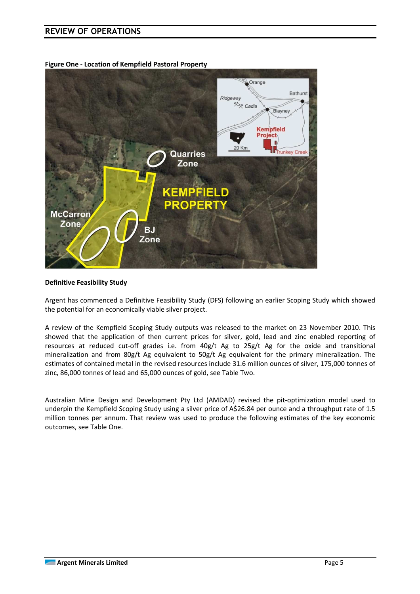## **REVIEW OF OPERATIONS**

**Figure One - Location of Kempfield Pastoral Property** 



#### **Definitive Feasibility Study**

Argent has commenced a Definitive Feasibility Study (DFS) following an earlier Scoping Study which showed the potential for an economically viable silver project.

A review of the Kempfield Scoping Study outputs was released to the market on 23 November 2010. This showed that the application of then current prices for silver, gold, lead and zinc enabled reporting of resources at reduced cut-off grades i.e. from 40g/t Ag to 25g/t Ag for the oxide and transitional mineralization and from 80g/t Ag equivalent to 50g/t Ag equivalent for the primary mineralization. The estimates of contained metal in the revised resources include 31.6 million ounces of silver, 175,000 tonnes of zinc, 86,000 tonnes of lead and 65,000 ounces of gold, see Table Two.

Australian Mine Design and Development Pty Ltd (AMDAD) revised the pit-optimization model used to underpin the Kempfield Scoping Study using a silver price of A\$26.84 per ounce and a throughput rate of 1.5 million tonnes per annum. That review was used to produce the following estimates of the key economic outcomes, see Table One.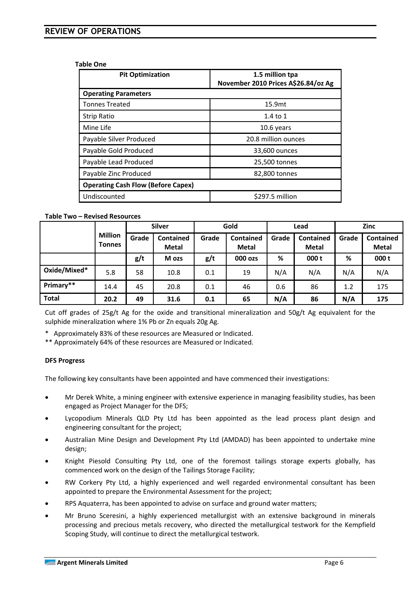#### **Table One**

| <b>Pit Optimization</b>                   | 1.5 million tpa<br>November 2010 Prices A\$26.84/oz Ag |  |  |  |
|-------------------------------------------|--------------------------------------------------------|--|--|--|
| <b>Operating Parameters</b>               |                                                        |  |  |  |
| <b>Tonnes Treated</b>                     | 15.9mt                                                 |  |  |  |
| <b>Strip Ratio</b>                        | $1.4$ to $1$                                           |  |  |  |
| Mine Life                                 | 10.6 years                                             |  |  |  |
| Payable Silver Produced                   | 20.8 million ounces                                    |  |  |  |
| Payable Gold Produced                     | 33,600 ounces                                          |  |  |  |
| Payable Lead Produced                     | 25,500 tonnes                                          |  |  |  |
| Payable Zinc Produced                     | 82,800 tonnes                                          |  |  |  |
| <b>Operating Cash Flow (Before Capex)</b> |                                                        |  |  |  |
| Undiscounted                              | \$297.5 million                                        |  |  |  |

#### **Table Two – Revised Resources**

|              |                                 | <b>Silver</b> |                                  | Gold  |                                  | Lead  |                                  | <b>Zinc</b> |                                  |
|--------------|---------------------------------|---------------|----------------------------------|-------|----------------------------------|-------|----------------------------------|-------------|----------------------------------|
|              | <b>Million</b><br><b>Tonnes</b> | Grade         | <b>Contained</b><br><b>Metal</b> | Grade | <b>Contained</b><br><b>Metal</b> | Grade | <b>Contained</b><br><b>Metal</b> | Grade       | <b>Contained</b><br><b>Metal</b> |
|              |                                 | g/t           | M ozs                            | g/t   | 000 ozs                          | %     | 000 t                            | %           | 000 t                            |
| Oxide/Mixed* | 5.8                             | 58            | 10.8                             | 0.1   | 19                               | N/A   | N/A                              | N/A         | N/A                              |
| Primary**    | 14.4                            | 45            | 20.8                             | 0.1   | 46                               | 0.6   | 86                               | 1.2         | 175                              |
| <b>Total</b> | 20.2                            | 49            | 31.6                             | 0.1   | 65                               | N/A   | 86                               | N/A         | 175                              |

Cut off grades of 25g/t Ag for the oxide and transitional mineralization and 50g/t Ag equivalent for the sulphide mineralization where 1% Pb or Zn equals 20g Ag.

\* Approximately 83% of these resources are Measured or Indicated.

\*\* Approximately 64% of these resources are Measured or Indicated.

#### **DFS Progress**

The following key consultants have been appointed and have commenced their investigations:

- Mr Derek White, a mining engineer with extensive experience in managing feasibility studies, has been engaged as Project Manager for the DFS;
- Lycopodium Minerals QLD Pty Ltd has been appointed as the lead process plant design and engineering consultant for the project;
- Australian Mine Design and Development Pty Ltd (AMDAD) has been appointed to undertake mine design;
- Knight Piesold Consulting Pty Ltd, one of the foremost tailings storage experts globally, has commenced work on the design of the Tailings Storage Facility;
- RW Corkery Pty Ltd, a highly experienced and well regarded environmental consultant has been appointed to prepare the Environmental Assessment for the project;
- RPS Aquaterra, has been appointed to advise on surface and ground water matters;
- Mr Bruno Sceresini, a highly experienced metallurgist with an extensive background in minerals processing and precious metals recovery, who directed the metallurgical testwork for the Kempfield Scoping Study, will continue to direct the metallurgical testwork.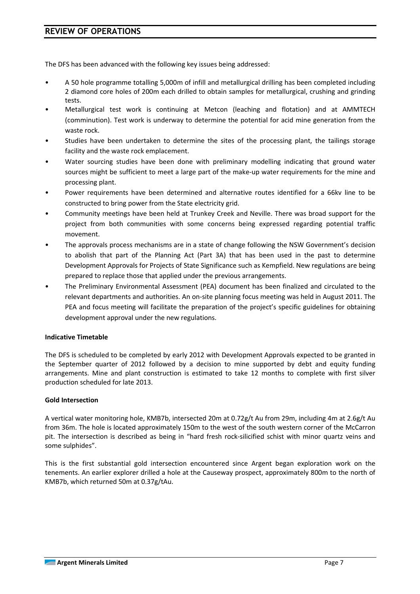## **REVIEW OF OPERATIONS**

The DFS has been advanced with the following key issues being addressed:

- A 50 hole programme totalling 5,000m of infill and metallurgical drilling has been completed including 2 diamond core holes of 200m each drilled to obtain samples for metallurgical, crushing and grinding tests.
- Metallurgical test work is continuing at Metcon (leaching and flotation) and at AMMTECH (comminution). Test work is underway to determine the potential for acid mine generation from the waste rock.
- Studies have been undertaken to determine the sites of the processing plant, the tailings storage facility and the waste rock emplacement.
- Water sourcing studies have been done with preliminary modelling indicating that ground water sources might be sufficient to meet a large part of the make-up water requirements for the mine and processing plant.
- Power requirements have been determined and alternative routes identified for a 66kv line to be constructed to bring power from the State electricity grid.
- Community meetings have been held at Trunkey Creek and Neville. There was broad support for the project from both communities with some concerns being expressed regarding potential traffic movement.
- The approvals process mechanisms are in a state of change following the NSW Government's decision to abolish that part of the Planning Act (Part 3A) that has been used in the past to determine Development Approvals for Projects of State Significance such as Kempfield. New regulations are being prepared to replace those that applied under the previous arrangements.
- The Preliminary Environmental Assessment (PEA) document has been finalized and circulated to the relevant departments and authorities. An on-site planning focus meeting was held in August 2011. The PEA and focus meeting will facilitate the preparation of the project's specific guidelines for obtaining development approval under the new regulations.

#### **Indicative Timetable**

The DFS is scheduled to be completed by early 2012 with Development Approvals expected to be granted in the September quarter of 2012 followed by a decision to mine supported by debt and equity funding arrangements. Mine and plant construction is estimated to take 12 months to complete with first silver production scheduled for late 2013.

#### **Gold Intersection**

A vertical water monitoring hole, KMB7b, intersected 20m at 0.72g/t Au from 29m, including 4m at 2.6g/t Au from 36m. The hole is located approximately 150m to the west of the south western corner of the McCarron pit. The intersection is described as being in "hard fresh rock-silicified schist with minor quartz veins and some sulphides".

This is the first substantial gold intersection encountered since Argent began exploration work on the tenements. An earlier explorer drilled a hole at the Causeway prospect, approximately 800m to the north of KMB7b, which returned 50m at 0.37g/tAu.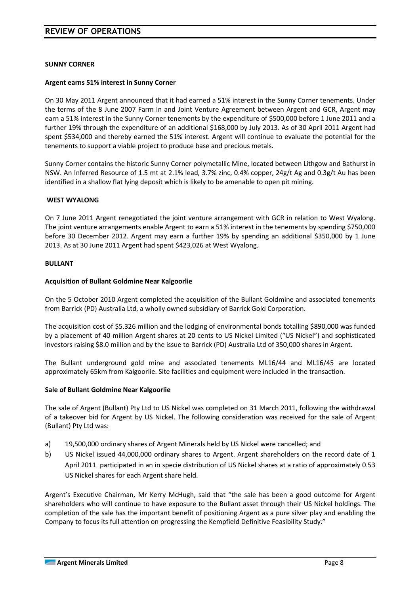#### **SUNNY CORNER**

#### **Argent earns 51% interest in Sunny Corner**

On 30 May 2011 Argent announced that it had earned a 51% interest in the Sunny Corner tenements. Under the terms of the 8 June 2007 Farm In and Joint Venture Agreement between Argent and GCR, Argent may earn a 51% interest in the Sunny Corner tenements by the expenditure of \$500,000 before 1 June 2011 and a further 19% through the expenditure of an additional \$168,000 by July 2013. As of 30 April 2011 Argent had spent \$534,000 and thereby earned the 51% interest. Argent will continue to evaluate the potential for the tenements to support a viable project to produce base and precious metals.

Sunny Corner contains the historic Sunny Corner polymetallic Mine, located between Lithgow and Bathurst in NSW. An Inferred Resource of 1.5 mt at 2.1% lead, 3.7% zinc, 0.4% copper, 24g/t Ag and 0.3g/t Au has been identified in a shallow flat lying deposit which is likely to be amenable to open pit mining.

#### **WEST WYALONG**

On 7 June 2011 Argent renegotiated the joint venture arrangement with GCR in relation to West Wyalong. The joint venture arrangements enable Argent to earn a 51% interest in the tenements by spending \$750,000 before 30 December 2012. Argent may earn a further 19% by spending an additional \$350,000 by 1 June 2013. As at 30 June 2011 Argent had spent \$423,026 at West Wyalong.

#### **BULLANT**

#### **Acquisition of Bullant Goldmine Near Kalgoorlie**

On the 5 October 2010 Argent completed the acquisition of the Bullant Goldmine and associated tenements from Barrick (PD) Australia Ltd, a wholly owned subsidiary of Barrick Gold Corporation.

The acquisition cost of \$5.326 million and the lodging of environmental bonds totalling \$890,000 was funded by a placement of 40 million Argent shares at 20 cents to US Nickel Limited ("US Nickel") and sophisticated investors raising \$8.0 million and by the issue to Barrick (PD) Australia Ltd of 350,000 shares in Argent.

The Bullant underground gold mine and associated tenements ML16/44 and ML16/45 are located approximately 65km from Kalgoorlie. Site facilities and equipment were included in the transaction.

#### **Sale of Bullant Goldmine Near Kalgoorlie**

The sale of Argent (Bullant) Pty Ltd to US Nickel was completed on 31 March 2011, following the withdrawal of a takeover bid for Argent by US Nickel. The following consideration was received for the sale of Argent (Bullant) Pty Ltd was:

- a) 19,500,000 ordinary shares of Argent Minerals held by US Nickel were cancelled; and
- b) US Nickel issued 44,000,000 ordinary shares to Argent. Argent shareholders on the record date of 1 April 2011 participated in an in specie distribution of US Nickel shares at a ratio of approximately 0.53 US Nickel shares for each Argent share held.

Argent's Executive Chairman, Mr Kerry McHugh, said that "the sale has been a good outcome for Argent shareholders who will continue to have exposure to the Bullant asset through their US Nickel holdings. The completion of the sale has the important benefit of positioning Argent as a pure silver play and enabling the Company to focus its full attention on progressing the Kempfield Definitive Feasibility Study."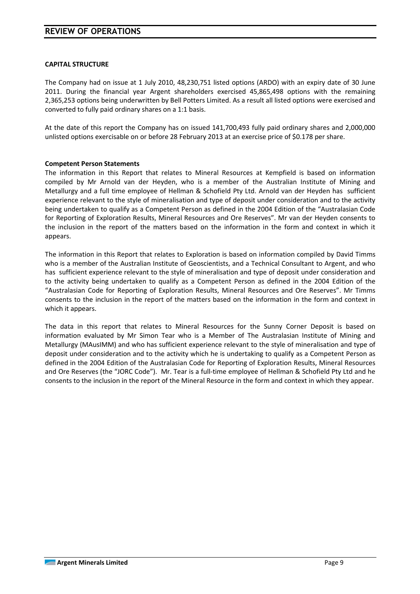## **REVIEW OF OPERATIONS**

#### **CAPITAL STRUCTURE**

The Company had on issue at 1 July 2010, 48,230,751 listed options (ARDO) with an expiry date of 30 June 2011. During the financial year Argent shareholders exercised 45,865,498 options with the remaining 2,365,253 options being underwritten by Bell Potters Limited. As a result all listed options were exercised and converted to fully paid ordinary shares on a 1:1 basis.

At the date of this report the Company has on issued 141,700,493 fully paid ordinary shares and 2,000,000 unlisted options exercisable on or before 28 February 2013 at an exercise price of \$0.178 per share.

#### **Competent Person Statements**

The information in this Report that relates to Mineral Resources at Kempfield is based on information compiled by Mr Arnold van der Heyden, who is a member of the Australian Institute of Mining and Metallurgy and a full time employee of Hellman & Schofield Pty Ltd. Arnold van der Heyden has sufficient experience relevant to the style of mineralisation and type of deposit under consideration and to the activity being undertaken to qualify as a Competent Person as defined in the 2004 Edition of the "Australasian Code for Reporting of Exploration Results, Mineral Resources and Ore Reserves". Mr van der Heyden consents to the inclusion in the report of the matters based on the information in the form and context in which it appears.

The information in this Report that relates to Exploration is based on information compiled by David Timms who is a member of the Australian Institute of Geoscientists, and a Technical Consultant to Argent, and who has sufficient experience relevant to the style of mineralisation and type of deposit under consideration and to the activity being undertaken to qualify as a Competent Person as defined in the 2004 Edition of the "Australasian Code for Reporting of Exploration Results, Mineral Resources and Ore Reserves". Mr Timms consents to the inclusion in the report of the matters based on the information in the form and context in which it appears.

The data in this report that relates to Mineral Resources for the Sunny Corner Deposit is based on information evaluated by Mr Simon Tear who is a Member of The Australasian Institute of Mining and Metallurgy (MAusIMM) and who has sufficient experience relevant to the style of mineralisation and type of deposit under consideration and to the activity which he is undertaking to qualify as a Competent Person as defined in the 2004 Edition of the Australasian Code for Reporting of Exploration Results, Mineral Resources and Ore Reserves (the "JORC Code"). Mr. Tear is a full-time employee of Hellman & Schofield Pty Ltd and he consents to the inclusion in the report of the Mineral Resource in the form and context in which they appear.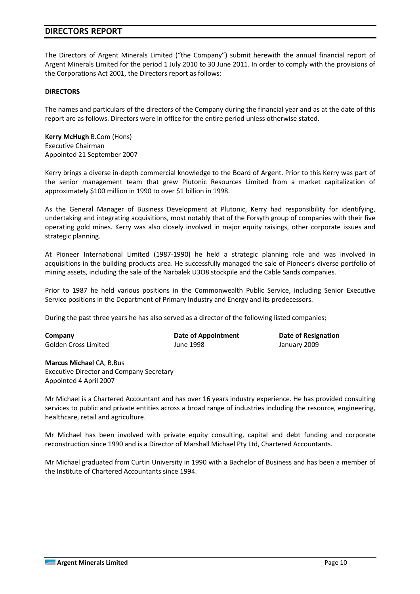The Directors of Argent Minerals Limited ("the Company") submit herewith the annual financial report of Argent Minerals Limited for the period 1 July 2010 to 30 June 2011. In order to comply with the provisions of the Corporations Act 2001, the Directors report as follows:

#### **DIRECTORS**

The names and particulars of the directors of the Company during the financial year and as at the date of this report are as follows. Directors were in office for the entire period unless otherwise stated.

**Kerry McHugh** B.Com (Hons) Executive Chairman Appointed 21 September 2007

Kerry brings a diverse in-depth commercial knowledge to the Board of Argent. Prior to this Kerry was part of the senior management team that grew Plutonic Resources Limited from a market capitalization of approximately \$100 million in 1990 to over \$1 billion in 1998.

As the General Manager of Business Development at Plutonic, Kerry had responsibility for identifying, undertaking and integrating acquisitions, most notably that of the Forsyth group of companies with their five operating gold mines. Kerry was also closely involved in major equity raisings, other corporate issues and strategic planning.

At Pioneer International Limited (1987-1990) he held a strategic planning role and was involved in acquisitions in the building products area. He successfully managed the sale of Pioneer's diverse portfolio of mining assets, including the sale of the Narbalek U3O8 stockpile and the Cable Sands companies.

Prior to 1987 he held various positions in the Commonwealth Public Service, including Senior Executive Service positions in the Department of Primary Industry and Energy and its predecessors.

During the past three years he has also served as a director of the following listed companies;

| Company              | Date of Appointment | Date of Resignation |
|----------------------|---------------------|---------------------|
| Golden Cross Limited | June 1998           | January 2009        |

**Marcus Michael** CA, B.Bus Executive Director and Company Secretary Appointed 4 April 2007

Mr Michael is a Chartered Accountant and has over 16 years industry experience. He has provided consulting services to public and private entities across a broad range of industries including the resource, engineering, healthcare, retail and agriculture.

Mr Michael has been involved with private equity consulting, capital and debt funding and corporate reconstruction since 1990 and is a Director of Marshall Michael Pty Ltd, Chartered Accountants.

Mr Michael graduated from Curtin University in 1990 with a Bachelor of Business and has been a member of the Institute of Chartered Accountants since 1994.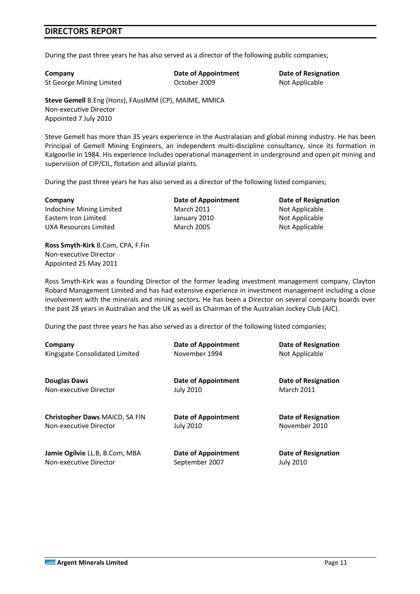During the past three years he has also served as a director of the following public companies;

**Company Date of Appointment Date of Resignation** St George Mining Limited October 2009 Not Applicable

**Steve Gemell** B.Eng (Hons), FAusIMM (CP), MAIME, MMICA Non-executive Director Appointed 7 July 2010

Steve Gemell has more than 35 years experience in the Australasian and global mining industry. He has been Principal of Gemell Mining Engineers, an independent multi-discipline consultancy, since its formation in Kalgoorlie in 1984. His experience includes operational management in underground and open pit mining and supervision of CIP/CIL, flotation and alluvial plants.

During the past three years he has also served as a director of the following listed companies;

**Company Date of Appointment Date of Resignation** Indochine Mining Limited March 2011 March 2011 Not Applicable Eastern Iron Limited **Containers** January 2010 **Not Applicable** UXA Resources Limited March 2005 March 2005

**Ross Smyth-Kirk** B.Com, CPA, F.Fin Non-executive Director Appointed 25 May 2011

Ross Smyth-Kirk was a founding Director of the former leading investment management company, Clayton Robard Management Limited and has had extensive experience in investment management including a close involvement with the minerals and mining sectors. He has been a Director on several company boards over the past 28 years in Australian and the UK as well as Chairman of the Australian Jockey Club (AJC).

During the past three years he has also served as a director of the following listed companies;

| Company                               | <b>Date of Appointment</b> | <b>Date of Resignation</b> |
|---------------------------------------|----------------------------|----------------------------|
| Kingsgate Consolidated Limited        | November 1994              | Not Applicable             |
| <b>Douglas Daws</b>                   | Date of Appointment        | Date of Resignation        |
| Non-executive Director                | <b>July 2010</b>           | <b>March 2011</b>          |
| <b>Christopher Daws MAICD, SA FIN</b> | <b>Date of Appointment</b> | Date of Resignation        |
| Non-executive Director                | <b>July 2010</b>           | November 2010              |
| Jamie Ogilvie LL.B, B.Com, MBA        | Date of Appointment        | Date of Resignation        |
| Non-executive Director                | September 2007             | <b>July 2010</b>           |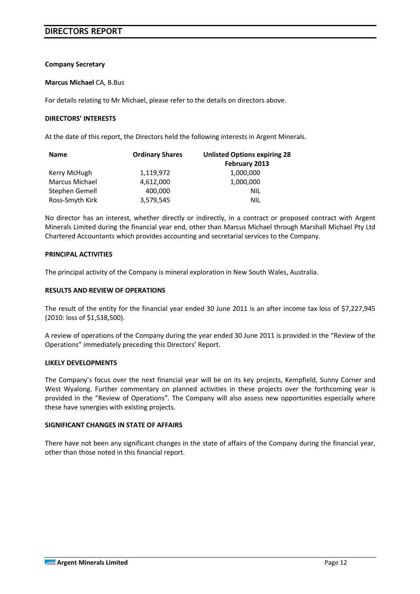#### **Company Secretary**

#### **Marcus Michael** CA, B.Bus

For details relating to Mr Michael, please refer to the details on directors above.

#### **DIRECTORS' INTERESTS**

At the date of this report, the Directors held the following interests in Argent Minerals.

| <b>Name</b>     | <b>Ordinary Shares</b> | <b>Unlisted Options expiring 28</b> |
|-----------------|------------------------|-------------------------------------|
|                 |                        | February 2013                       |
| Kerry McHugh    | 1,119,972              | 1,000,000                           |
| Marcus Michael  | 4,612,000              | 1,000,000                           |
| Stephen Gemell  | 400,000                | <b>NIL</b>                          |
| Ross-Smyth Kirk | 3,579,545              | NIL                                 |

No director has an interest, whether directly or indirectly, in a contract or proposed contract with Argent Minerals Limited during the financial year end, other than Marcus Michael through Marshall Michael Pty Ltd Chartered Accountants which provides accounting and secretarial services to the Company.

#### **PRINCIPAL ACTIVITIES**

The principal activity of the Company is mineral exploration in New South Wales, Australia.

#### **RESULTS AND REVIEW OF OPERATIONS**

The result of the entity for the financial year ended 30 June 2011 is an after income tax loss of \$7,227,945 (2010: loss of \$1,538,500).

A review of operations of the Company during the year ended 30 June 2011 is provided in the "Review of the Operations" immediately preceding this Directors' Report.

#### **LIKELY DEVELOPMENTS**

The Company's focus over the next financial year will be on its key projects, Kempfield, Sunny Corner and West Wyalong. Further commentary on planned activities in these projects over the forthcoming year is provided in the "Review of Operations". The Company will also assess new opportunities especially where these have synergies with existing projects.

#### **SIGNIFICANT CHANGES IN STATE OF AFFAIRS**

There have not been any significant changes in the state of affairs of the Company during the financial year, other than those noted in this financial report.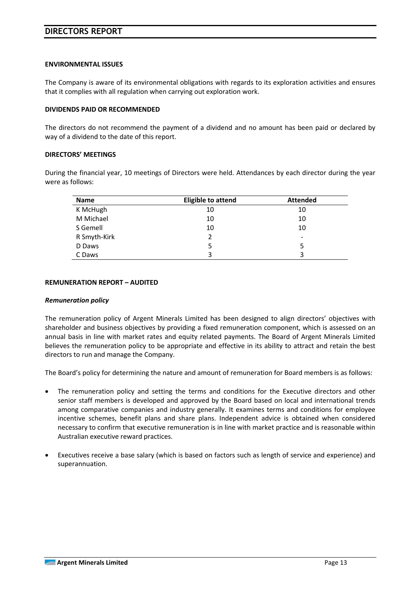#### **ENVIRONMENTAL ISSUES**

The Company is aware of its environmental obligations with regards to its exploration activities and ensures that it complies with all regulation when carrying out exploration work.

#### **DIVIDENDS PAID OR RECOMMENDED**

The directors do not recommend the payment of a dividend and no amount has been paid or declared by way of a dividend to the date of this report.

#### **DIRECTORS' MEETINGS**

During the financial year, 10 meetings of Directors were held. Attendances by each director during the year were as follows:

| Name         | <b>Eligible to attend</b> | <b>Attended</b> |
|--------------|---------------------------|-----------------|
| K McHugh     | 10                        | 10              |
| M Michael    | 10                        | 10              |
| S Gemell     | 10                        | 10              |
| R Smyth-Kirk |                           | -               |
| D Daws       | 5                         | 5               |
| C Daws       | 3                         | 3               |

#### **REMUNERATION REPORT – AUDITED**

#### *Remuneration policy*

The remuneration policy of Argent Minerals Limited has been designed to align directors' objectives with shareholder and business objectives by providing a fixed remuneration component, which is assessed on an annual basis in line with market rates and equity related payments. The Board of Argent Minerals Limited believes the remuneration policy to be appropriate and effective in its ability to attract and retain the best directors to run and manage the Company.

The Board's policy for determining the nature and amount of remuneration for Board members is as follows:

- The remuneration policy and setting the terms and conditions for the Executive directors and other senior staff members is developed and approved by the Board based on local and international trends among comparative companies and industry generally. It examines terms and conditions for employee incentive schemes, benefit plans and share plans. Independent advice is obtained when considered necessary to confirm that executive remuneration is in line with market practice and is reasonable within Australian executive reward practices.
- Executives receive a base salary (which is based on factors such as length of service and experience) and superannuation.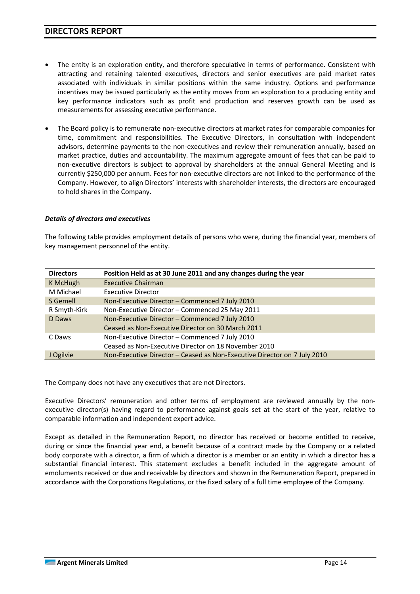- The entity is an exploration entity, and therefore speculative in terms of performance. Consistent with attracting and retaining talented executives, directors and senior executives are paid market rates associated with individuals in similar positions within the same industry. Options and performance incentives may be issued particularly as the entity moves from an exploration to a producing entity and key performance indicators such as profit and production and reserves growth can be used as measurements for assessing executive performance.
- The Board policy is to remunerate non-executive directors at market rates for comparable companies for time, commitment and responsibilities. The Executive Directors, in consultation with independent advisors, determine payments to the non-executives and review their remuneration annually, based on market practice, duties and accountability. The maximum aggregate amount of fees that can be paid to non-executive directors is subject to approval by shareholders at the annual General Meeting and is currently \$250,000 per annum. Fees for non-executive directors are not linked to the performance of the Company. However, to align Directors' interests with shareholder interests, the directors are encouraged to hold shares in the Company.

#### *Details of directors and executives*

The following table provides employment details of persons who were, during the financial year, members of key management personnel of the entity.

| <b>Directors</b> | Position Held as at 30 June 2011 and any changes during the year         |
|------------------|--------------------------------------------------------------------------|
| K McHugh         | <b>Executive Chairman</b>                                                |
| M Michael        | <b>Executive Director</b>                                                |
| S Gemell         | Non-Executive Director - Commenced 7 July 2010                           |
| R Smyth-Kirk     | Non-Executive Director - Commenced 25 May 2011                           |
| D Daws           | Non-Executive Director - Commenced 7 July 2010                           |
|                  | Ceased as Non-Executive Director on 30 March 2011                        |
| C Daws           | Non-Executive Director - Commenced 7 July 2010                           |
|                  | Ceased as Non-Executive Director on 18 November 2010                     |
| J Ogilvie        | Non-Executive Director - Ceased as Non-Executive Director on 7 July 2010 |

The Company does not have any executives that are not Directors.

Executive Directors' remuneration and other terms of employment are reviewed annually by the nonexecutive director(s) having regard to performance against goals set at the start of the year, relative to comparable information and independent expert advice.

Except as detailed in the Remuneration Report, no director has received or become entitled to receive, during or since the financial year end, a benefit because of a contract made by the Company or a related body corporate with a director, a firm of which a director is a member or an entity in which a director has a substantial financial interest. This statement excludes a benefit included in the aggregate amount of emoluments received or due and receivable by directors and shown in the Remuneration Report, prepared in accordance with the Corporations Regulations, or the fixed salary of a full time employee of the Company.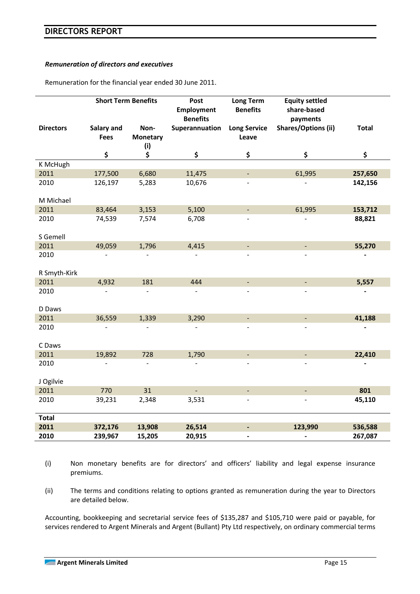#### *Remuneration of directors and executives*

Remuneration for the financial year ended 30 June 2011.

|                  | <b>Short Term Benefits</b> |                                | Post<br><b>Employment</b><br><b>Benefits</b> | <b>Long Term</b><br><b>Benefits</b> | <b>Equity settled</b><br>share-based<br>payments |              |
|------------------|----------------------------|--------------------------------|----------------------------------------------|-------------------------------------|--------------------------------------------------|--------------|
| <b>Directors</b> | Salary and<br><b>Fees</b>  | Non-<br><b>Monetary</b><br>(i) | Superannuation                               | <b>Long Service</b><br>Leave        | <b>Shares/Options (ii)</b>                       | <b>Total</b> |
|                  | \$                         | \$                             | \$                                           | \$                                  | \$                                               | \$           |
| K McHugh         |                            |                                |                                              |                                     |                                                  |              |
| 2011             | 177,500                    | 6,680                          | 11,475                                       | $\blacksquare$                      | 61,995                                           | 257,650      |
| 2010             | 126,197                    | 5,283                          | 10,676                                       |                                     |                                                  | 142,156      |
| M Michael        |                            |                                |                                              |                                     |                                                  |              |
| 2011             | 83,464                     | 3,153                          | 5,100                                        |                                     | 61,995                                           | 153,712      |
| 2010             | 74,539                     | 7,574                          | 6,708                                        |                                     |                                                  | 88,821       |
| S Gemell         |                            |                                |                                              |                                     |                                                  |              |
| 2011             | 49,059                     | 1,796                          | 4,415                                        | $\overline{\phantom{a}}$            |                                                  | 55,270       |
| 2010             |                            |                                |                                              |                                     |                                                  |              |
| R Smyth-Kirk     |                            |                                |                                              |                                     |                                                  |              |
| 2011             | 4,932                      | 181                            | 444                                          | $\blacksquare$                      | $\blacksquare$                                   | 5,557        |
| 2010             |                            |                                |                                              |                                     |                                                  |              |
| D Daws           |                            |                                |                                              |                                     |                                                  |              |
| 2011             | 36,559                     | 1,339                          | 3,290                                        | $\overline{\phantom{a}}$            | $\blacksquare$                                   | 41,188       |
| 2010             |                            |                                |                                              |                                     |                                                  |              |
| C Daws           |                            |                                |                                              |                                     |                                                  |              |
| 2011             | 19,892                     | 728                            | 1,790                                        | $\blacksquare$                      |                                                  | 22,410       |
| 2010             |                            |                                |                                              |                                     |                                                  |              |
| J Ogilvie        |                            |                                |                                              |                                     |                                                  |              |
| 2011             | 770                        | 31                             |                                              | $\overline{\phantom{a}}$            |                                                  | 801          |
| 2010             | 39,231                     | 2,348                          | 3,531                                        |                                     |                                                  | 45,110       |
| <b>Total</b>     |                            |                                |                                              |                                     |                                                  |              |
| 2011             | 372,176                    | 13,908                         | 26,514                                       | $\qquad \qquad \blacksquare$        | 123,990                                          | 536,588      |
| 2010             | 239,967                    | 15,205                         | 20,915                                       | $\blacksquare$                      |                                                  | 267,087      |

(i) Non monetary benefits are for directors' and officers' liability and legal expense insurance premiums.

(ii) The terms and conditions relating to options granted as remuneration during the year to Directors are detailed below.

Accounting, bookkeeping and secretarial service fees of \$135,287 and \$105,710 were paid or payable, for services rendered to Argent Minerals and Argent (Bullant) Pty Ltd respectively, on ordinary commercial terms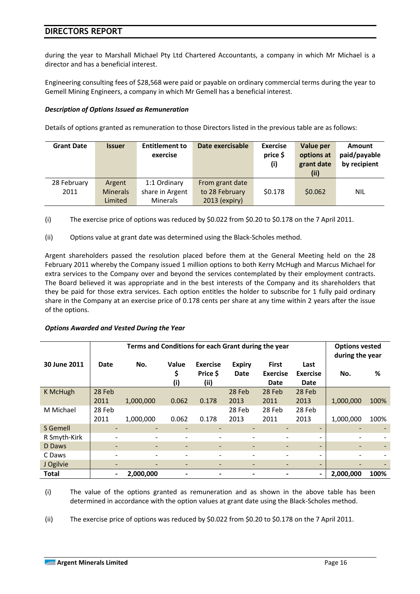during the year to Marshall Michael Pty Ltd Chartered Accountants, a company in which Mr Michael is a director and has a beneficial interest.

Engineering consulting fees of \$28,568 were paid or payable on ordinary commercial terms during the year to Gemell Mining Engineers, a company in which Mr Gemell has a beneficial interest.

#### *Description of Options Issued as Remuneration*

Details of options granted as remuneration to those Directors listed in the previous table are as follows:

| <b>Grant Date</b> | <b>Issuer</b>   | <b>Entitlement to</b><br>exercise | Date exercisable | <b>Exercise</b><br>price \$<br>(i) | Value per<br>options at<br>grant date<br>(ii) | <b>Amount</b><br>paid/payable<br>by recipient |
|-------------------|-----------------|-----------------------------------|------------------|------------------------------------|-----------------------------------------------|-----------------------------------------------|
| 28 February       | Argent          | 1:1 Ordinary                      | From grant date  |                                    |                                               |                                               |
| 2011              | <b>Minerals</b> | share in Argent                   | to 28 February   | \$0.178                            | \$0.062                                       | <b>NIL</b>                                    |
|                   | Limited         | <b>Minerals</b>                   | 2013 (expiry)    |                                    |                                               |                                               |

- (i) The exercise price of options was reduced by \$0.022 from \$0.20 to \$0.178 on the 7 April 2011.
- (ii) Options value at grant date was determined using the Black-Scholes method.

Argent shareholders passed the resolution placed before them at the General Meeting held on the 28 February 2011 whereby the Company issued 1 million options to both Kerry McHugh and Marcus Michael for extra services to the Company over and beyond the services contemplated by their employment contracts. The Board believed it was appropriate and in the best interests of the Company and its shareholders that they be paid for those extra services. Each option entitles the holder to subscribe for 1 fully paid ordinary share in the Company at an exercise price of 0.178 cents per share at any time within 2 years after the issue of the options.

#### *Options Awarded and Vested During the Year*

|              | Terms and Conditions for each Grant during the year |           |                           |                                     |                       |                                         |                                 |           | <b>Options vested</b><br>during the year |  |
|--------------|-----------------------------------------------------|-----------|---------------------------|-------------------------------------|-----------------------|-----------------------------------------|---------------------------------|-----------|------------------------------------------|--|
| 30 June 2011 | Date                                                | No.       | <b>Value</b><br>\$<br>(i) | <b>Exercise</b><br>Price \$<br>(ii) | <b>Expiry</b><br>Date | <b>First</b><br><b>Exercise</b><br>Date | Last<br><b>Exercise</b><br>Date | No.       | %                                        |  |
| K McHugh     | 28 Feb                                              |           |                           |                                     | 28 Feb                | 28 Feb                                  | 28 Feb                          |           |                                          |  |
|              | 2011                                                | 1,000,000 | 0.062                     | 0.178                               | 2013                  | 2011                                    | 2013                            | 1,000,000 | 100%                                     |  |
| M Michael    | 28 Feb                                              |           |                           |                                     | 28 Feb                | 28 Feb                                  | 28 Feb                          |           |                                          |  |
|              | 2011                                                | 1,000,000 | 0.062                     | 0.178                               | 2013                  | 2011                                    | 2013                            | 1,000,000 | 100%                                     |  |
| S Gemell     | ۰                                                   |           | $\overline{\phantom{0}}$  | ٠                                   | ٠                     |                                         |                                 | -         |                                          |  |
| R Smyth-Kirk | -                                                   |           | $\overline{\phantom{a}}$  | ۰                                   | ۰                     |                                         | -                               |           |                                          |  |
| D Daws       |                                                     |           | ۰                         | ۰                                   | -                     |                                         |                                 | -         |                                          |  |
| C Daws       |                                                     |           |                           |                                     | ۰                     |                                         |                                 |           |                                          |  |
| J Ogilvie    |                                                     |           |                           | -                                   | ۰                     |                                         | $\overline{\phantom{0}}$        |           |                                          |  |
| <b>Total</b> |                                                     | 2,000,000 |                           | -                                   | $\blacksquare$        |                                         |                                 | 2,000,000 | 100%                                     |  |

(i) The value of the options granted as remuneration and as shown in the above table has been determined in accordance with the option values at grant date using the Black-Scholes method.

(ii) The exercise price of options was reduced by \$0.022 from \$0.20 to \$0.178 on the 7 April 2011.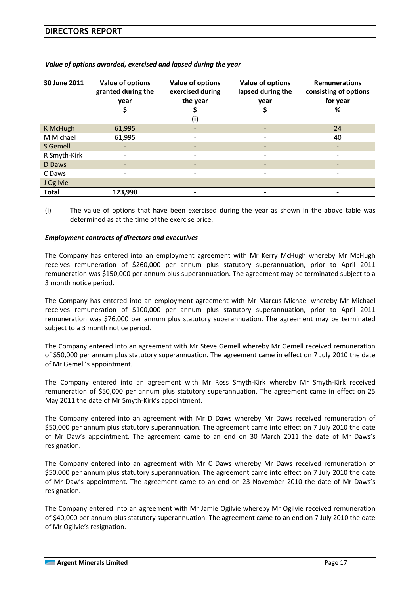| 30 June 2011 | Value of options<br>granted during the<br>year | Value of options<br>exercised during<br>the year<br>(i) | Value of options<br>lapsed during the<br>vear<br>Ş | <b>Remunerations</b><br>consisting of options<br>for year<br>% |
|--------------|------------------------------------------------|---------------------------------------------------------|----------------------------------------------------|----------------------------------------------------------------|
| K McHugh     | 61,995                                         | -                                                       |                                                    | 24                                                             |
| M Michael    | 61,995                                         | $\overline{\phantom{a}}$                                |                                                    | 40                                                             |
| S Gemell     |                                                | $\overline{\phantom{a}}$                                |                                                    | $\overline{\phantom{0}}$                                       |
| R Smyth-Kirk |                                                | $\overline{\phantom{a}}$                                |                                                    |                                                                |
| D Daws       |                                                | -                                                       |                                                    |                                                                |
| C Daws       |                                                | $\overline{\phantom{a}}$                                |                                                    |                                                                |
| J Ogilvie    |                                                |                                                         |                                                    |                                                                |
| <b>Total</b> | 123,990                                        |                                                         |                                                    |                                                                |

*Value of options awarded, exercised and lapsed during the year* 

(i) The value of options that have been exercised during the year as shown in the above table was determined as at the time of the exercise price.

#### *Employment contracts of directors and executives*

The Company has entered into an employment agreement with Mr Kerry McHugh whereby Mr McHugh receives remuneration of \$260,000 per annum plus statutory superannuation, prior to April 2011 remuneration was \$150,000 per annum plus superannuation. The agreement may be terminated subject to a 3 month notice period.

The Company has entered into an employment agreement with Mr Marcus Michael whereby Mr Michael receives remuneration of \$100,000 per annum plus statutory superannuation, prior to April 2011 remuneration was \$76,000 per annum plus statutory superannuation. The agreement may be terminated subject to a 3 month notice period.

The Company entered into an agreement with Mr Steve Gemell whereby Mr Gemell received remuneration of \$50,000 per annum plus statutory superannuation. The agreement came in effect on 7 July 2010 the date of Mr Gemell's appointment.

The Company entered into an agreement with Mr Ross Smyth-Kirk whereby Mr Smyth-Kirk received remuneration of \$50,000 per annum plus statutory superannuation. The agreement came in effect on 25 May 2011 the date of Mr Smyth-Kirk's appointment.

The Company entered into an agreement with Mr D Daws whereby Mr Daws received remuneration of \$50,000 per annum plus statutory superannuation. The agreement came into effect on 7 July 2010 the date of Mr Daw's appointment. The agreement came to an end on 30 March 2011 the date of Mr Daws's resignation.

The Company entered into an agreement with Mr C Daws whereby Mr Daws received remuneration of \$50,000 per annum plus statutory superannuation. The agreement came into effect on 7 July 2010 the date of Mr Daw's appointment. The agreement came to an end on 23 November 2010 the date of Mr Daws's resignation.

The Company entered into an agreement with Mr Jamie Ogilvie whereby Mr Ogilvie received remuneration of \$40,000 per annum plus statutory superannuation. The agreement came to an end on 7 July 2010 the date of Mr Ogilvie's resignation.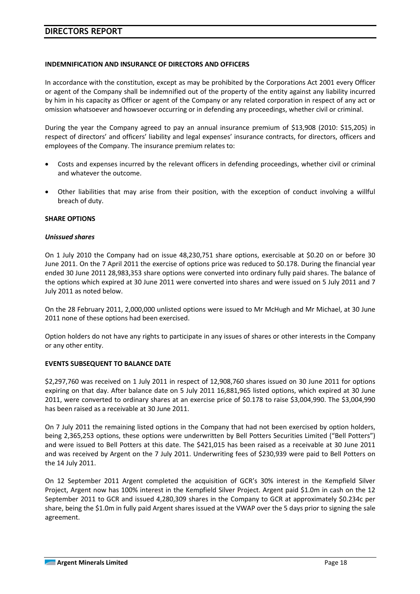#### **INDEMNIFICATION AND INSURANCE OF DIRECTORS AND OFFICERS**

In accordance with the constitution, except as may be prohibited by the Corporations Act 2001 every Officer or agent of the Company shall be indemnified out of the property of the entity against any liability incurred by him in his capacity as Officer or agent of the Company or any related corporation in respect of any act or omission whatsoever and howsoever occurring or in defending any proceedings, whether civil or criminal.

During the year the Company agreed to pay an annual insurance premium of \$13,908 (2010: \$15,205) in respect of directors' and officers' liability and legal expenses' insurance contracts, for directors, officers and employees of the Company. The insurance premium relates to:

- Costs and expenses incurred by the relevant officers in defending proceedings, whether civil or criminal and whatever the outcome.
- Other liabilities that may arise from their position, with the exception of conduct involving a willful breach of duty.

#### **SHARE OPTIONS**

#### *Unissued shares*

On 1 July 2010 the Company had on issue 48,230,751 share options, exercisable at \$0.20 on or before 30 June 2011. On the 7 April 2011 the exercise of options price was reduced to \$0.178. During the financial year ended 30 June 2011 28,983,353 share options were converted into ordinary fully paid shares. The balance of the options which expired at 30 June 2011 were converted into shares and were issued on 5 July 2011 and 7 July 2011 as noted below.

On the 28 February 2011, 2,000,000 unlisted options were issued to Mr McHugh and Mr Michael, at 30 June 2011 none of these options had been exercised.

Option holders do not have any rights to participate in any issues of shares or other interests in the Company or any other entity.

#### **EVENTS SUBSEQUENT TO BALANCE DATE**

\$2,297,760 was received on 1 July 2011 in respect of 12,908,760 shares issued on 30 June 2011 for options expiring on that day. After balance date on 5 July 2011 16,881,965 listed options, which expired at 30 June 2011, were converted to ordinary shares at an exercise price of \$0.178 to raise \$3,004,990. The \$3,004,990 has been raised as a receivable at 30 June 2011.

On 7 July 2011 the remaining listed options in the Company that had not been exercised by option holders, being 2,365,253 options, these options were underwritten by Bell Potters Securities Limited ("Bell Potters") and were issued to Bell Potters at this date. The \$421,015 has been raised as a receivable at 30 June 2011 and was received by Argent on the 7 July 2011. Underwriting fees of \$230,939 were paid to Bell Potters on the 14 July 2011.

On 12 September 2011 Argent completed the acquisition of GCR's 30% interest in the Kempfield Silver Project, Argent now has 100% interest in the Kempfield Silver Project. Argent paid \$1.0m in cash on the 12 September 2011 to GCR and issued 4,280,309 shares in the Company to GCR at approximately \$0.234c per share, being the \$1.0m in fully paid Argent shares issued at the VWAP over the 5 days prior to signing the sale agreement.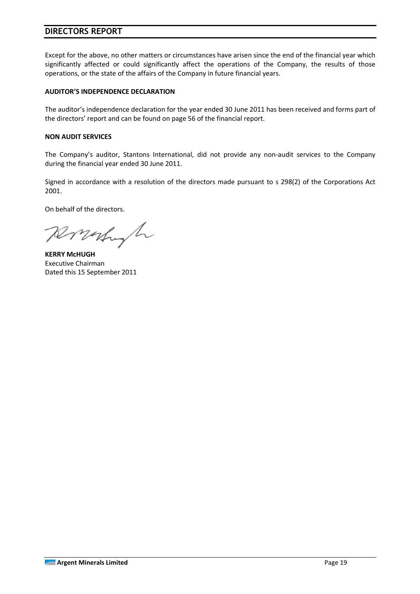Except for the above, no other matters or circumstances have arisen since the end of the financial year which significantly affected or could significantly affect the operations of the Company, the results of those operations, or the state of the affairs of the Company in future financial years.

#### **AUDITOR'S INDEPENDENCE DECLARATION**

The auditor's independence declaration for the year ended 30 June 2011 has been received and forms part of the directors' report and can be found on page 56 of the financial report.

#### **NON AUDIT SERVICES**

The Company's auditor, Stantons International, did not provide any non-audit services to the Company during the financial year ended 30 June 2011.

Signed in accordance with a resolution of the directors made pursuant to s 298(2) of the Corporations Act 2001.

On behalf of the directors.

Ronalyh

**KERRY McHUGH**  Executive Chairman Dated this 15 September 2011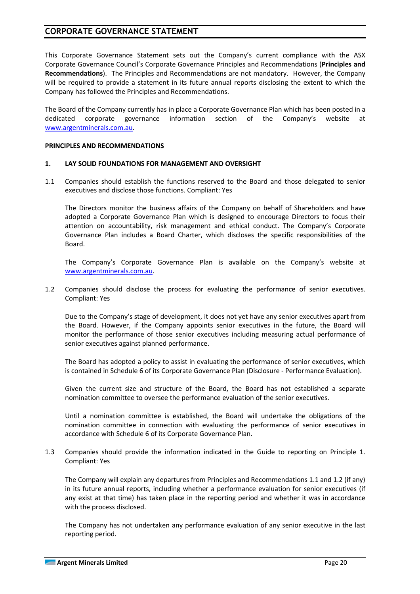## **CORPORATE GOVERNANCE STATEMENT**

This Corporate Governance Statement sets out the Company's current compliance with the ASX Corporate Governance Council's Corporate Governance Principles and Recommendations (**Principles and Recommendations**). The Principles and Recommendations are not mandatory. However, the Company will be required to provide a statement in its future annual reports disclosing the extent to which the Company has followed the Principles and Recommendations.

The Board of the Company currently has in place a Corporate Governance Plan which has been posted in a dedicated corporate governance information section of the Company's website at www.argentminerals.com.au.

#### **PRINCIPLES AND RECOMMENDATIONS**

#### **1. LAY SOLID FOUNDATIONS FOR MANAGEMENT AND OVERSIGHT**

1.1 Companies should establish the functions reserved to the Board and those delegated to senior executives and disclose those functions. Compliant: Yes

The Directors monitor the business affairs of the Company on behalf of Shareholders and have adopted a Corporate Governance Plan which is designed to encourage Directors to focus their attention on accountability, risk management and ethical conduct. The Company's Corporate Governance Plan includes a Board Charter, which discloses the specific responsibilities of the Board.

The Company's Corporate Governance Plan is available on the Company's website at www.argentminerals.com.au.

1.2 Companies should disclose the process for evaluating the performance of senior executives. Compliant: Yes

Due to the Company's stage of development, it does not yet have any senior executives apart from the Board. However, if the Company appoints senior executives in the future, the Board will monitor the performance of those senior executives including measuring actual performance of senior executives against planned performance.

The Board has adopted a policy to assist in evaluating the performance of senior executives, which is contained in Schedule 6 of its Corporate Governance Plan (Disclosure - Performance Evaluation).

Given the current size and structure of the Board, the Board has not established a separate nomination committee to oversee the performance evaluation of the senior executives.

Until a nomination committee is established, the Board will undertake the obligations of the nomination committee in connection with evaluating the performance of senior executives in accordance with Schedule 6 of its Corporate Governance Plan.

1.3 Companies should provide the information indicated in the Guide to reporting on Principle 1. Compliant: Yes

The Company will explain any departures from Principles and Recommendations 1.1 and 1.2 (if any) in its future annual reports, including whether a performance evaluation for senior executives (if any exist at that time) has taken place in the reporting period and whether it was in accordance with the process disclosed.

The Company has not undertaken any performance evaluation of any senior executive in the last reporting period.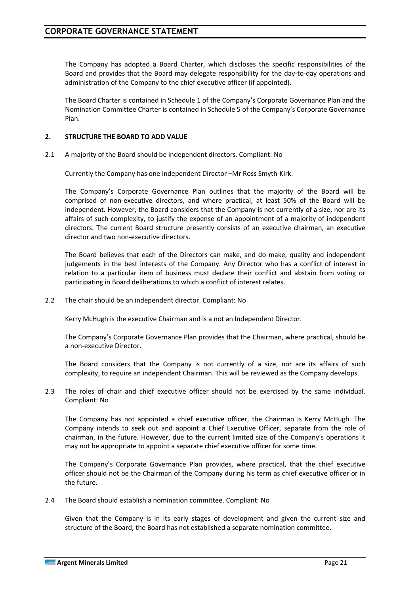The Company has adopted a Board Charter, which discloses the specific responsibilities of the Board and provides that the Board may delegate responsibility for the day-to-day operations and administration of the Company to the chief executive officer (if appointed).

The Board Charter is contained in Schedule 1 of the Company's Corporate Governance Plan and the Nomination Committee Charter is contained in Schedule 5 of the Company's Corporate Governance Plan.

#### **2. STRUCTURE THE BOARD TO ADD VALUE**

2.1 A majority of the Board should be independent directors. Compliant: No

Currently the Company has one independent Director –Mr Ross Smyth-Kirk.

The Company's Corporate Governance Plan outlines that the majority of the Board will be comprised of non-executive directors, and where practical, at least 50% of the Board will be independent. However, the Board considers that the Company is not currently of a size, nor are its affairs of such complexity, to justify the expense of an appointment of a majority of independent directors. The current Board structure presently consists of an executive chairman, an executive director and two non-executive directors.

The Board believes that each of the Directors can make, and do make, quality and independent judgements in the best interests of the Company. Any Director who has a conflict of interest in relation to a particular item of business must declare their conflict and abstain from voting or participating in Board deliberations to which a conflict of interest relates.

2.2 The chair should be an independent director. Compliant: No

Kerry McHugh is the executive Chairman and is a not an Independent Director.

The Company's Corporate Governance Plan provides that the Chairman, where practical, should be a non-executive Director.

The Board considers that the Company is not currently of a size, nor are its affairs of such complexity, to require an independent Chairman. This will be reviewed as the Company develops.

2.3 The roles of chair and chief executive officer should not be exercised by the same individual. Compliant: No

The Company has not appointed a chief executive officer, the Chairman is Kerry McHugh. The Company intends to seek out and appoint a Chief Executive Officer, separate from the role of chairman, in the future. However, due to the current limited size of the Company's operations it may not be appropriate to appoint a separate chief executive officer for some time.

The Company's Corporate Governance Plan provides, where practical, that the chief executive officer should not be the Chairman of the Company during his term as chief executive officer or in the future.

2.4 The Board should establish a nomination committee. Compliant: No

Given that the Company is in its early stages of development and given the current size and structure of the Board, the Board has not established a separate nomination committee.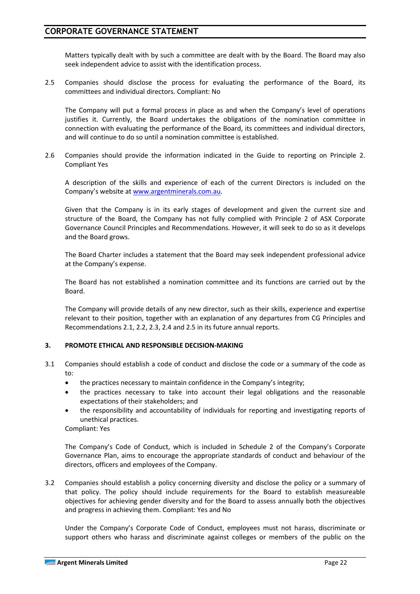## **CORPORATE GOVERNANCE STATEMENT**

Matters typically dealt with by such a committee are dealt with by the Board. The Board may also seek independent advice to assist with the identification process.

2.5 Companies should disclose the process for evaluating the performance of the Board, its committees and individual directors. Compliant: No

The Company will put a formal process in place as and when the Company's level of operations justifies it. Currently, the Board undertakes the obligations of the nomination committee in connection with evaluating the performance of the Board, its committees and individual directors, and will continue to do so until a nomination committee is established.

2.6 Companies should provide the information indicated in the Guide to reporting on Principle 2. Compliant Yes

A description of the skills and experience of each of the current Directors is included on the Company's website at www.argentminerals.com.au.

Given that the Company is in its early stages of development and given the current size and structure of the Board, the Company has not fully complied with Principle 2 of ASX Corporate Governance Council Principles and Recommendations. However, it will seek to do so as it develops and the Board grows.

The Board Charter includes a statement that the Board may seek independent professional advice at the Company's expense.

The Board has not established a nomination committee and its functions are carried out by the Board.

The Company will provide details of any new director, such as their skills, experience and expertise relevant to their position, together with an explanation of any departures from CG Principles and Recommendations 2.1, 2.2, 2.3, 2.4 and 2.5 in its future annual reports.

#### **3. PROMOTE ETHICAL AND RESPONSIBLE DECISION-MAKING**

- 3.1 Companies should establish a code of conduct and disclose the code or a summary of the code as to:
	- the practices necessary to maintain confidence in the Company's integrity;
	- the practices necessary to take into account their legal obligations and the reasonable expectations of their stakeholders; and
	- the responsibility and accountability of individuals for reporting and investigating reports of unethical practices.

Compliant: Yes

The Company's Code of Conduct, which is included in Schedule 2 of the Company's Corporate Governance Plan, aims to encourage the appropriate standards of conduct and behaviour of the directors, officers and employees of the Company.

3.2 Companies should establish a policy concerning diversity and disclose the policy or a summary of that policy. The policy should include requirements for the Board to establish measureable objectives for achieving gender diversity and for the Board to assess annually both the objectives and progress in achieving them. Compliant: Yes and No

 Under the Company's Corporate Code of Conduct, employees must not harass, discriminate or support others who harass and discriminate against colleges or members of the public on the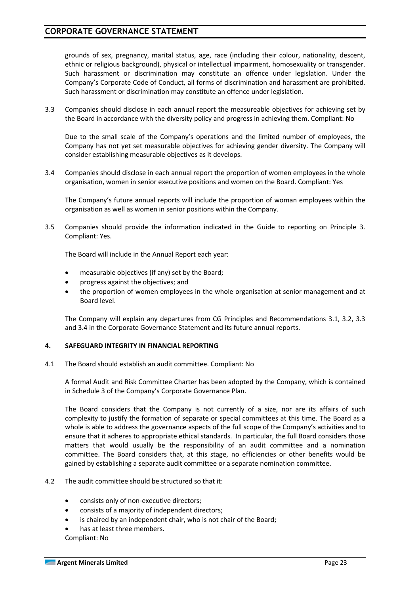## **CORPORATE GOVERNANCE STATEMENT**

grounds of sex, pregnancy, marital status, age, race (including their colour, nationality, descent, ethnic or religious background), physical or intellectual impairment, homosexuality or transgender. Such harassment or discrimination may constitute an offence under legislation. Under the Company's Corporate Code of Conduct, all forms of discrimination and harassment are prohibited. Such harassment or discrimination may constitute an offence under legislation.

3.3 Companies should disclose in each annual report the measureable objectives for achieving set by the Board in accordance with the diversity policy and progress in achieving them. Compliant: No

 Due to the small scale of the Company's operations and the limited number of employees, the Company has not yet set measurable objectives for achieving gender diversity. The Company will consider establishing measurable objectives as it develops.

3.4 Companies should disclose in each annual report the proportion of women employees in the whole organisation, women in senior executive positions and women on the Board. Compliant: Yes

 The Company's future annual reports will include the proportion of woman employees within the organisation as well as women in senior positions within the Company.

3.5 Companies should provide the information indicated in the Guide to reporting on Principle 3. Compliant: Yes.

The Board will include in the Annual Report each year:

- measurable objectives (if any) set by the Board;
- progress against the objectives; and
- the proportion of women employees in the whole organisation at senior management and at Board level.

The Company will explain any departures from CG Principles and Recommendations 3.1, 3.2, 3.3 and 3.4 in the Corporate Governance Statement and its future annual reports.

#### **4. SAFEGUARD INTEGRITY IN FINANCIAL REPORTING**

4.1 The Board should establish an audit committee. Compliant: No

 A formal Audit and Risk Committee Charter has been adopted by the Company, which is contained in Schedule 3 of the Company's Corporate Governance Plan.

 The Board considers that the Company is not currently of a size, nor are its affairs of such complexity to justify the formation of separate or special committees at this time. The Board as a whole is able to address the governance aspects of the full scope of the Company's activities and to ensure that it adheres to appropriate ethical standards. In particular, the full Board considers those matters that would usually be the responsibility of an audit committee and a nomination committee. The Board considers that, at this stage, no efficiencies or other benefits would be gained by establishing a separate audit committee or a separate nomination committee.

#### 4.2 The audit committee should be structured so that it:

- consists only of non-executive directors;
- consists of a majority of independent directors;
- is chaired by an independent chair, who is not chair of the Board;
- has at least three members.

Compliant: No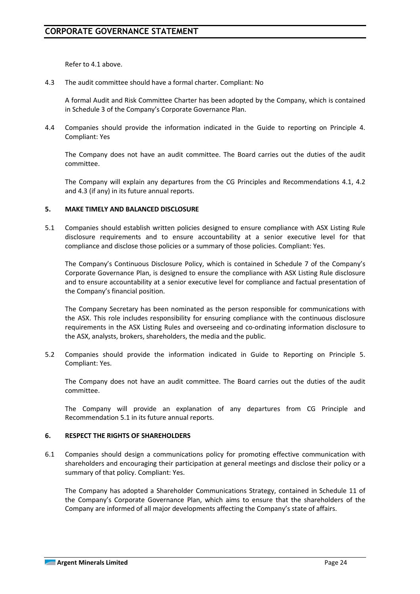Refer to 4.1 above.

4.3 The audit committee should have a formal charter. Compliant: No

A formal Audit and Risk Committee Charter has been adopted by the Company, which is contained in Schedule 3 of the Company's Corporate Governance Plan.

4.4 Companies should provide the information indicated in the Guide to reporting on Principle 4. Compliant: Yes

The Company does not have an audit committee. The Board carries out the duties of the audit committee.

The Company will explain any departures from the CG Principles and Recommendations 4.1, 4.2 and 4.3 (if any) in its future annual reports.

#### **5. MAKE TIMELY AND BALANCED DISCLOSURE**

5.1 Companies should establish written policies designed to ensure compliance with ASX Listing Rule disclosure requirements and to ensure accountability at a senior executive level for that compliance and disclose those policies or a summary of those policies. Compliant: Yes.

The Company's Continuous Disclosure Policy, which is contained in Schedule 7 of the Company's Corporate Governance Plan, is designed to ensure the compliance with ASX Listing Rule disclosure and to ensure accountability at a senior executive level for compliance and factual presentation of the Company's financial position.

The Company Secretary has been nominated as the person responsible for communications with the ASX. This role includes responsibility for ensuring compliance with the continuous disclosure requirements in the ASX Listing Rules and overseeing and co-ordinating information disclosure to the ASX, analysts, brokers, shareholders, the media and the public.

5.2 Companies should provide the information indicated in Guide to Reporting on Principle 5. Compliant: Yes.

The Company does not have an audit committee. The Board carries out the duties of the audit committee.

The Company will provide an explanation of any departures from CG Principle and Recommendation 5.1 in its future annual reports.

#### **6. RESPECT THE RIGHTS OF SHAREHOLDERS**

6.1 Companies should design a communications policy for promoting effective communication with shareholders and encouraging their participation at general meetings and disclose their policy or a summary of that policy. Compliant: Yes.

The Company has adopted a Shareholder Communications Strategy, contained in Schedule 11 of the Company's Corporate Governance Plan, which aims to ensure that the shareholders of the Company are informed of all major developments affecting the Company's state of affairs.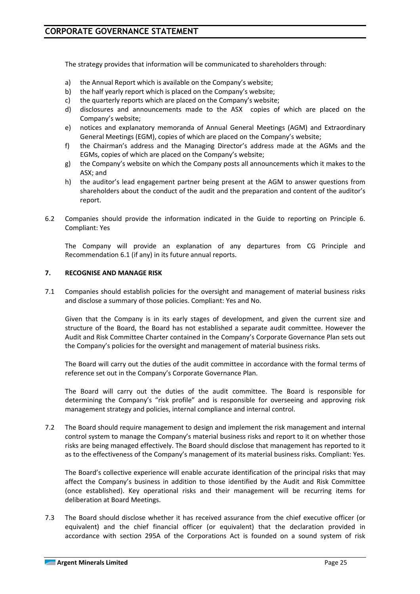The strategy provides that information will be communicated to shareholders through:

- a) the Annual Report which is available on the Company's website;
- b) the half yearly report which is placed on the Company's website;
- c) the quarterly reports which are placed on the Company's website;
- d) disclosures and announcements made to the ASX copies of which are placed on the Company's website;
- e) notices and explanatory memoranda of Annual General Meetings (AGM) and Extraordinary General Meetings (EGM), copies of which are placed on the Company's website;
- f) the Chairman's address and the Managing Director's address made at the AGMs and the EGMs, copies of which are placed on the Company's website;
- g) the Company's website on which the Company posts all announcements which it makes to the ASX; and
- h) the auditor's lead engagement partner being present at the AGM to answer questions from shareholders about the conduct of the audit and the preparation and content of the auditor's report.
- 6.2 Companies should provide the information indicated in the Guide to reporting on Principle 6. Compliant: Yes

The Company will provide an explanation of any departures from CG Principle and Recommendation 6.1 (if any) in its future annual reports.

#### **7. RECOGNISE AND MANAGE RISK**

7.1 Companies should establish policies for the oversight and management of material business risks and disclose a summary of those policies. Compliant: Yes and No.

Given that the Company is in its early stages of development, and given the current size and structure of the Board, the Board has not established a separate audit committee. However the Audit and Risk Committee Charter contained in the Company's Corporate Governance Plan sets out the Company's policies for the oversight and management of material business risks.

The Board will carry out the duties of the audit committee in accordance with the formal terms of reference set out in the Company's Corporate Governance Plan.

The Board will carry out the duties of the audit committee. The Board is responsible for determining the Company's "risk profile" and is responsible for overseeing and approving risk management strategy and policies, internal compliance and internal control.

7.2 The Board should require management to design and implement the risk management and internal control system to manage the Company's material business risks and report to it on whether those risks are being managed effectively. The Board should disclose that management has reported to it as to the effectiveness of the Company's management of its material business risks. Compliant: Yes.

The Board's collective experience will enable accurate identification of the principal risks that may affect the Company's business in addition to those identified by the Audit and Risk Committee (once established). Key operational risks and their management will be recurring items for deliberation at Board Meetings.

7.3 The Board should disclose whether it has received assurance from the chief executive officer (or equivalent) and the chief financial officer (or equivalent) that the declaration provided in accordance with section 295A of the Corporations Act is founded on a sound system of risk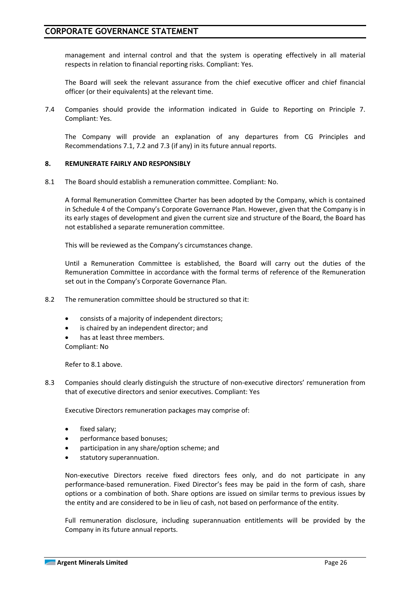management and internal control and that the system is operating effectively in all material respects in relation to financial reporting risks. Compliant: Yes.

The Board will seek the relevant assurance from the chief executive officer and chief financial officer (or their equivalents) at the relevant time.

7.4 Companies should provide the information indicated in Guide to Reporting on Principle 7. Compliant: Yes.

The Company will provide an explanation of any departures from CG Principles and Recommendations 7.1, 7.2 and 7.3 (if any) in its future annual reports.

#### **8. REMUNERATE FAIRLY AND RESPONSIBLY**

8.1 The Board should establish a remuneration committee. Compliant: No.

A formal Remuneration Committee Charter has been adopted by the Company, which is contained in Schedule 4 of the Company's Corporate Governance Plan. However, given that the Company is in its early stages of development and given the current size and structure of the Board, the Board has not established a separate remuneration committee.

This will be reviewed as the Company's circumstances change.

Until a Remuneration Committee is established, the Board will carry out the duties of the Remuneration Committee in accordance with the formal terms of reference of the Remuneration set out in the Company's Corporate Governance Plan.

- 8.2 The remuneration committee should be structured so that it:
	- consists of a majority of independent directors;
	- is chaired by an independent director; and
	- has at least three members. Compliant: No

Refer to 8.1 above.

8.3 Companies should clearly distinguish the structure of non-executive directors' remuneration from that of executive directors and senior executives. Compliant: Yes

Executive Directors remuneration packages may comprise of:

- fixed salary;
- performance based bonuses;
- participation in any share/option scheme; and
- statutory superannuation.

Non-executive Directors receive fixed directors fees only, and do not participate in any performance-based remuneration. Fixed Director's fees may be paid in the form of cash, share options or a combination of both. Share options are issued on similar terms to previous issues by the entity and are considered to be in lieu of cash, not based on performance of the entity.

Full remuneration disclosure, including superannuation entitlements will be provided by the Company in its future annual reports.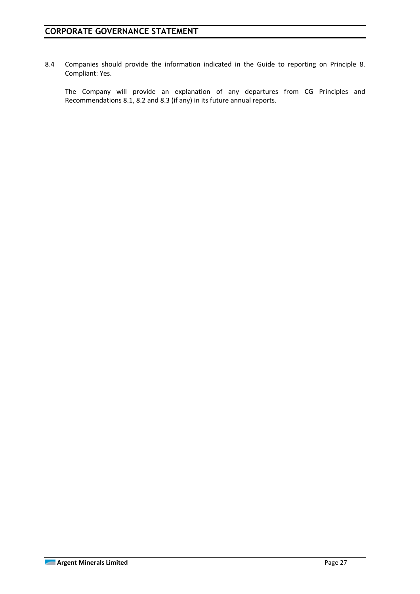8.4 Companies should provide the information indicated in the Guide to reporting on Principle 8. Compliant: Yes.

The Company will provide an explanation of any departures from CG Principles and Recommendations 8.1, 8.2 and 8.3 (if any) in its future annual reports.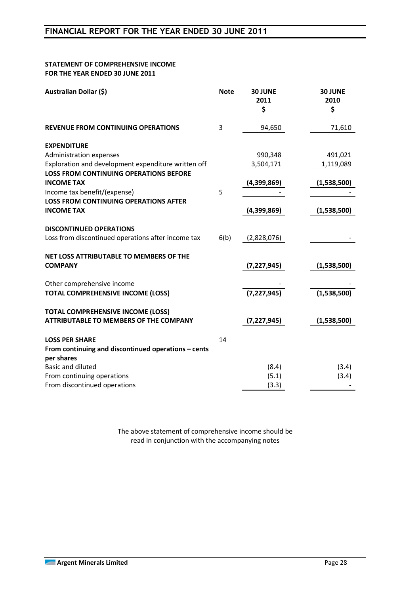#### **STATEMENT OF COMPREHENSIVE INCOME FOR THE YEAR ENDED 30 JUNE 2011**

| Australian Dollar (\$)<br><b>Note</b><br><b>30 JUNE</b><br>2011<br>\$     | 30 JUNE<br>2010<br>\$ |
|---------------------------------------------------------------------------|-----------------------|
| 3<br><b>REVENUE FROM CONTINUING OPERATIONS</b><br>94,650                  | 71,610                |
| <b>EXPENDITURE</b>                                                        |                       |
| Administration expenses<br>990,348                                        | 491,021               |
| Exploration and development expenditure written off<br>3,504,171          | 1,119,089             |
| <b>LOSS FROM CONTINUING OPERATIONS BEFORE</b>                             |                       |
| <b>INCOME TAX</b><br>(4,399,869)                                          | (1,538,500)           |
| Income tax benefit/(expense)<br>5                                         |                       |
| <b>LOSS FROM CONTINUING OPERATIONS AFTER</b>                              |                       |
| <b>INCOME TAX</b><br>(4,399,869)                                          | (1,538,500)           |
| <b>DISCONTINUED OPERATIONS</b>                                            |                       |
|                                                                           |                       |
| Loss from discontinued operations after income tax<br>6(b)<br>(2,828,076) |                       |
| NET LOSS ATTRIBUTABLE TO MEMBERS OF THE                                   |                       |
| <b>COMPANY</b><br>(7, 227, 945)                                           | (1,538,500)           |
|                                                                           |                       |
| Other comprehensive income                                                |                       |
| <b>TOTAL COMPREHENSIVE INCOME (LOSS)</b><br>(7, 227, 945)                 | (1,538,500)           |
|                                                                           |                       |
| <b>TOTAL COMPREHENSIVE INCOME (LOSS)</b>                                  |                       |
| <b>ATTRIBUTABLE TO MEMBERS OF THE COMPANY</b><br>(7, 227, 945)            | (1,538,500)           |
| <b>LOSS PER SHARE</b><br>14                                               |                       |
| From continuing and discontinued operations - cents                       |                       |
| per shares                                                                |                       |
| <b>Basic and diluted</b><br>(8.4)                                         | (3.4)                 |
| From continuing operations<br>(5.1)                                       | (3.4)                 |
| From discontinued operations<br>(3.3)                                     |                       |

The above statement of comprehensive income should be read in conjunction with the accompanying notes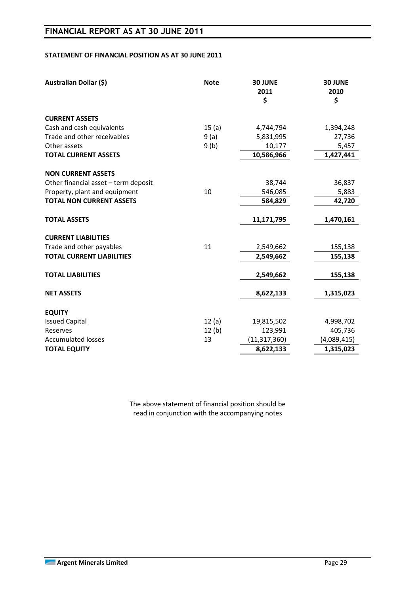#### **STATEMENT OF FINANCIAL POSITION AS AT 30 JUNE 2011**

| Australian Dollar (\$)               | <b>Note</b> | 30 JUNE<br>2011<br>\$ | 30 JUNE<br>2010<br>\$ |
|--------------------------------------|-------------|-----------------------|-----------------------|
| <b>CURRENT ASSETS</b>                |             |                       |                       |
| Cash and cash equivalents            | 15(a)       | 4,744,794             | 1,394,248             |
| Trade and other receivables          | 9(a)        | 5,831,995             | 27,736                |
| Other assets                         | 9(b)        | 10,177                | 5,457                 |
| <b>TOTAL CURRENT ASSETS</b>          |             | 10,586,966            | 1,427,441             |
| <b>NON CURRENT ASSETS</b>            |             |                       |                       |
| Other financial asset - term deposit |             | 38,744                | 36,837                |
| Property, plant and equipment        | 10          | 546,085               | 5,883                 |
| <b>TOTAL NON CURRENT ASSETS</b>      |             | 584,829               | 42,720                |
|                                      |             |                       |                       |
| <b>TOTAL ASSETS</b>                  |             | 11,171,795            | 1,470,161             |
|                                      |             |                       |                       |
| <b>CURRENT LIABILITIES</b>           |             |                       |                       |
| Trade and other payables             | 11          | 2,549,662             | 155,138               |
| <b>TOTAL CURRENT LIABILITIES</b>     |             | 2,549,662             | 155,138               |
| <b>TOTAL LIABILITIES</b>             |             | 2,549,662             | 155,138               |
|                                      |             |                       |                       |
| <b>NET ASSETS</b>                    |             | 8,622,133             | 1,315,023             |
|                                      |             |                       |                       |
| <b>EQUITY</b>                        |             |                       |                       |
| <b>Issued Capital</b>                | 12(a)       | 19,815,502            | 4,998,702             |
| Reserves                             | 12(b)       | 123,991               | 405,736               |
| <b>Accumulated losses</b>            | 13          | (11, 317, 360)        | (4,089,415)           |
| <b>TOTAL EQUITY</b>                  |             | 8,622,133             | 1,315,023             |

The above statement of financial position should be read in conjunction with the accompanying notes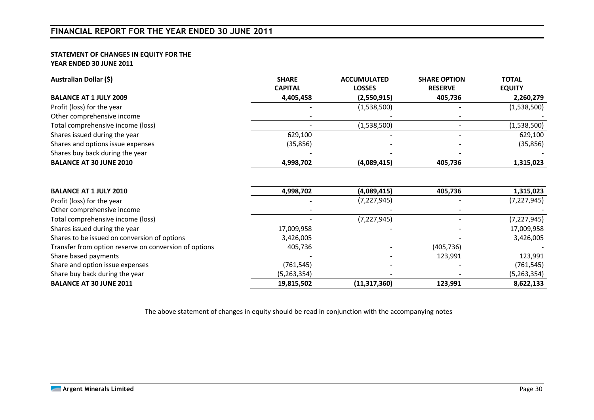## **FINANCIAL REPORT FOR THE YEAR ENDED 30 JUNE 2011**

#### **STATEMENT OF CHANGES IN EQUITY FOR THE YEAR ENDED 30 JUNE 2011**

| Australian Dollar (\$)                                | <b>SHARE</b><br><b>CAPITAL</b> | <b>ACCUMULATED</b><br><b>LOSSES</b> | <b>SHARE OPTION</b><br><b>RESERVE</b> | <b>TOTAL</b><br><b>EQUITY</b> |
|-------------------------------------------------------|--------------------------------|-------------------------------------|---------------------------------------|-------------------------------|
| <b>BALANCE AT 1 JULY 2009</b>                         | 4,405,458                      | (2,550,915)                         | 405,736                               | 2,260,279                     |
| Profit (loss) for the year                            |                                | (1,538,500)                         |                                       | (1,538,500)                   |
| Other comprehensive income                            |                                |                                     |                                       |                               |
| Total comprehensive income (loss)                     |                                | (1,538,500)                         |                                       | (1,538,500)                   |
| Shares issued during the year                         | 629,100                        |                                     |                                       | 629,100                       |
| Shares and options issue expenses                     | (35, 856)                      |                                     |                                       | (35, 856)                     |
| Shares buy back during the year                       |                                |                                     |                                       |                               |
| <b>BALANCE AT 30 JUNE 2010</b>                        | 4,998,702                      | (4,089,415)                         | 405,736                               | 1,315,023                     |
|                                                       |                                |                                     |                                       |                               |
| <b>BALANCE AT 1 JULY 2010</b>                         | 4,998,702                      | (4,089,415)                         | 405,736                               | 1,315,023                     |
| Profit (loss) for the year                            |                                | (7, 227, 945)                       |                                       | (7, 227, 945)                 |
| Other comprehensive income                            |                                |                                     |                                       |                               |
| Total comprehensive income (loss)                     |                                | (7, 227, 945)                       |                                       | (7, 227, 945)                 |
| Shares issued during the year                         | 17,009,958                     |                                     |                                       | 17,009,958                    |
| Shares to be issued on conversion of options          | 3,426,005                      |                                     |                                       | 3,426,005                     |
| Transfer from option reserve on conversion of options | 405,736                        |                                     | (405, 736)                            |                               |
| Share based payments                                  |                                |                                     | 123,991                               | 123,991                       |
| Share and option issue expenses                       | (761, 545)                     |                                     |                                       | (761, 545)                    |
| Share buy back during the year                        | (5,263,354)                    |                                     |                                       | (5,263,354)                   |
| <b>BALANCE AT 30 JUNE 2011</b>                        | 19,815,502                     | (11, 317, 360)                      | 123,991                               | 8,622,133                     |

The above statement of changes in equity should be read in conjunction with the accompanying notes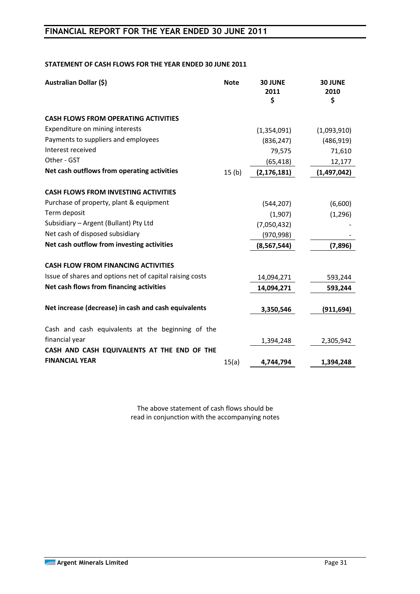## **FINANCIAL REPORT FOR THE YEAR ENDED 30 JUNE 2011**

#### **STATEMENT OF CASH FLOWS FOR THE YEAR ENDED 30 JUNE 2011**

| <b>Australian Dollar (\$)</b>                            | <b>Note</b>       | <b>30 JUNE</b><br>2011<br>\$ | <b>30 JUNE</b><br>2010<br>\$ |
|----------------------------------------------------------|-------------------|------------------------------|------------------------------|
| <b>CASH FLOWS FROM OPERATING ACTIVITIES</b>              |                   |                              |                              |
| Expenditure on mining interests                          |                   | (1,354,091)                  | (1,093,910)                  |
| Payments to suppliers and employees                      |                   | (836, 247)                   | (486, 919)                   |
| Interest received                                        |                   | 79,575                       | 71,610                       |
| Other - GST                                              |                   | (65, 418)                    | 12,177                       |
| Net cash outflows from operating activities              | 15 <sub>(b)</sub> | (2, 176, 181)                | (1,497,042)                  |
| <b>CASH FLOWS FROM INVESTING ACTIVITIES</b>              |                   |                              |                              |
| Purchase of property, plant & equipment                  |                   | (544, 207)                   | (6,600)                      |
| Term deposit                                             |                   | (1,907)                      | (1, 296)                     |
| Subsidiary - Argent (Bullant) Pty Ltd                    |                   | (7,050,432)                  |                              |
| Net cash of disposed subsidiary                          |                   | (970, 998)                   |                              |
| Net cash outflow from investing activities               |                   | (8, 567, 544)                | (7,896)                      |
| <b>CASH FLOW FROM FINANCING ACTIVITIES</b>               |                   |                              |                              |
| Issue of shares and options net of capital raising costs |                   | 14,094,271                   | 593,244                      |
| Net cash flows from financing activities                 |                   | 14,094,271                   | 593,244                      |
| Net increase (decrease) in cash and cash equivalents     |                   | 3,350,546                    | (911, 694)                   |
| Cash and cash equivalents at the beginning of the        |                   |                              |                              |
| financial year                                           |                   | 1,394,248                    | 2,305,942                    |
| CASH AND CASH EQUIVALENTS AT THE END OF THE              |                   |                              |                              |
| <b>FINANCIAL YEAR</b>                                    | 15(a)             | 4,744,794                    | 1,394,248                    |

The above statement of cash flows should be read in conjunction with the accompanying notes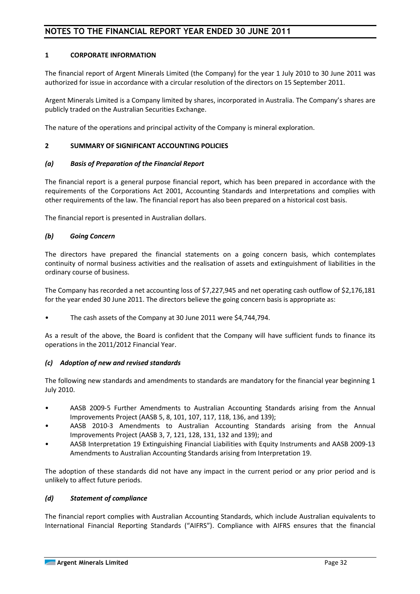#### **1 CORPORATE INFORMATION**

The financial report of Argent Minerals Limited (the Company) for the year 1 July 2010 to 30 June 2011 was authorized for issue in accordance with a circular resolution of the directors on 15 September 2011.

Argent Minerals Limited is a Company limited by shares, incorporated in Australia. The Company's shares are publicly traded on the Australian Securities Exchange.

The nature of the operations and principal activity of the Company is mineral exploration.

#### **2 SUMMARY OF SIGNIFICANT ACCOUNTING POLICIES**

#### *(a) Basis of Preparation of the Financial Report*

The financial report is a general purpose financial report, which has been prepared in accordance with the requirements of the Corporations Act 2001, Accounting Standards and Interpretations and complies with other requirements of the law. The financial report has also been prepared on a historical cost basis.

The financial report is presented in Australian dollars.

#### *(b) Going Concern*

The directors have prepared the financial statements on a going concern basis, which contemplates continuity of normal business activities and the realisation of assets and extinguishment of liabilities in the ordinary course of business.

The Company has recorded a net accounting loss of \$7,227,945 and net operating cash outflow of \$2,176,181 for the year ended 30 June 2011. The directors believe the going concern basis is appropriate as:

The cash assets of the Company at 30 June 2011 were \$4,744,794.

As a result of the above, the Board is confident that the Company will have sufficient funds to finance its operations in the 2011/2012 Financial Year.

#### *(c) Adoption of new and revised standards*

The following new standards and amendments to standards are mandatory for the financial year beginning 1 July 2010.

- AASB 2009-5 Further Amendments to Australian Accounting Standards arising from the Annual Improvements Project (AASB 5, 8, 101, 107, 117, 118, 136, and 139);
- AASB 2010-3 Amendments to Australian Accounting Standards arising from the Annual Improvements Project (AASB 3, 7, 121, 128, 131, 132 and 139); and
- AASB Interpretation 19 Extinguishing Financial Liabilities with Equity Instruments and AASB 2009-13 Amendments to Australian Accounting Standards arising from Interpretation 19.

The adoption of these standards did not have any impact in the current period or any prior period and is unlikely to affect future periods.

#### *(d) Statement of compliance*

The financial report complies with Australian Accounting Standards, which include Australian equivalents to International Financial Reporting Standards ("AIFRS"). Compliance with AIFRS ensures that the financial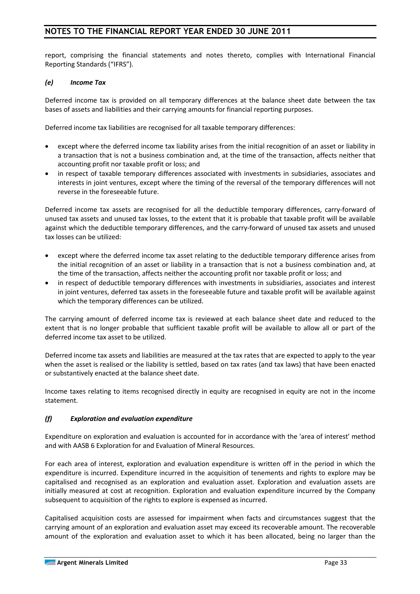report, comprising the financial statements and notes thereto, complies with International Financial Reporting Standards ("IFRS").

#### *(e) Income Tax*

Deferred income tax is provided on all temporary differences at the balance sheet date between the tax bases of assets and liabilities and their carrying amounts for financial reporting purposes.

Deferred income tax liabilities are recognised for all taxable temporary differences:

- except where the deferred income tax liability arises from the initial recognition of an asset or liability in a transaction that is not a business combination and, at the time of the transaction, affects neither that accounting profit nor taxable profit or loss; and
- in respect of taxable temporary differences associated with investments in subsidiaries, associates and interests in joint ventures, except where the timing of the reversal of the temporary differences will not reverse in the foreseeable future.

Deferred income tax assets are recognised for all the deductible temporary differences, carry-forward of unused tax assets and unused tax losses, to the extent that it is probable that taxable profit will be available against which the deductible temporary differences, and the carry-forward of unused tax assets and unused tax losses can be utilized:

- except where the deferred income tax asset relating to the deductible temporary difference arises from the initial recognition of an asset or liability in a transaction that is not a business combination and, at the time of the transaction, affects neither the accounting profit nor taxable profit or loss; and
- in respect of deductible temporary differences with investments in subsidiaries, associates and interest in joint ventures, deferred tax assets in the foreseeable future and taxable profit will be available against which the temporary differences can be utilized.

The carrying amount of deferred income tax is reviewed at each balance sheet date and reduced to the extent that is no longer probable that sufficient taxable profit will be available to allow all or part of the deferred income tax asset to be utilized.

Deferred income tax assets and liabilities are measured at the tax rates that are expected to apply to the year when the asset is realised or the liability is settled, based on tax rates (and tax laws) that have been enacted or substantively enacted at the balance sheet date.

Income taxes relating to items recognised directly in equity are recognised in equity are not in the income statement.

### *(f) Exploration and evaluation expenditure*

Expenditure on exploration and evaluation is accounted for in accordance with the 'area of interest' method and with AASB 6 Exploration for and Evaluation of Mineral Resources.

For each area of interest, exploration and evaluation expenditure is written off in the period in which the expenditure is incurred. Expenditure incurred in the acquisition of tenements and rights to explore may be capitalised and recognised as an exploration and evaluation asset. Exploration and evaluation assets are initially measured at cost at recognition. Exploration and evaluation expenditure incurred by the Company subsequent to acquisition of the rights to explore is expensed as incurred.

Capitalised acquisition costs are assessed for impairment when facts and circumstances suggest that the carrying amount of an exploration and evaluation asset may exceed its recoverable amount. The recoverable amount of the exploration and evaluation asset to which it has been allocated, being no larger than the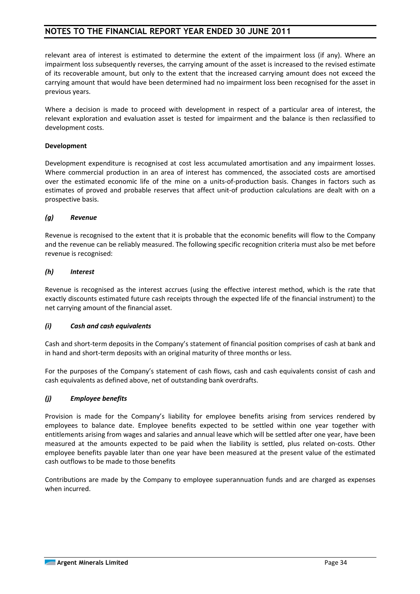relevant area of interest is estimated to determine the extent of the impairment loss (if any). Where an impairment loss subsequently reverses, the carrying amount of the asset is increased to the revised estimate of its recoverable amount, but only to the extent that the increased carrying amount does not exceed the carrying amount that would have been determined had no impairment loss been recognised for the asset in previous years.

Where a decision is made to proceed with development in respect of a particular area of interest, the relevant exploration and evaluation asset is tested for impairment and the balance is then reclassified to development costs.

#### **Development**

Development expenditure is recognised at cost less accumulated amortisation and any impairment losses. Where commercial production in an area of interest has commenced, the associated costs are amortised over the estimated economic life of the mine on a units-of-production basis. Changes in factors such as estimates of proved and probable reserves that affect unit-of production calculations are dealt with on a prospective basis.

#### *(g) Revenue*

Revenue is recognised to the extent that it is probable that the economic benefits will flow to the Company and the revenue can be reliably measured. The following specific recognition criteria must also be met before revenue is recognised:

#### *(h) Interest*

Revenue is recognised as the interest accrues (using the effective interest method, which is the rate that exactly discounts estimated future cash receipts through the expected life of the financial instrument) to the net carrying amount of the financial asset.

### *(i) Cash and cash equivalents*

Cash and short-term deposits in the Company's statement of financial position comprises of cash at bank and in hand and short-term deposits with an original maturity of three months or less.

For the purposes of the Company's statement of cash flows, cash and cash equivalents consist of cash and cash equivalents as defined above, net of outstanding bank overdrafts.

### *(j) Employee benefits*

Provision is made for the Company's liability for employee benefits arising from services rendered by employees to balance date. Employee benefits expected to be settled within one year together with entitlements arising from wages and salaries and annual leave which will be settled after one year, have been measured at the amounts expected to be paid when the liability is settled, plus related on-costs. Other employee benefits payable later than one year have been measured at the present value of the estimated cash outflows to be made to those benefits

Contributions are made by the Company to employee superannuation funds and are charged as expenses when incurred.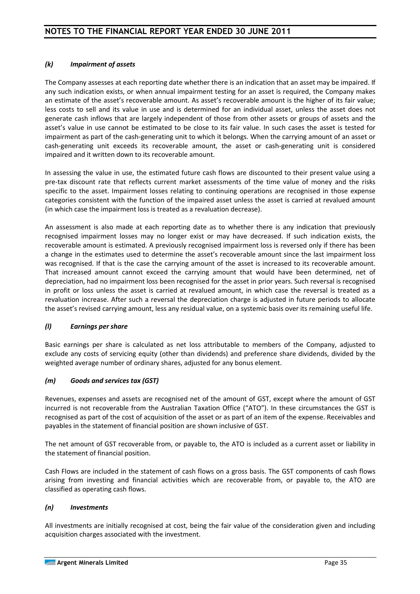#### *(k) Impairment of assets*

The Company assesses at each reporting date whether there is an indication that an asset may be impaired. If any such indication exists, or when annual impairment testing for an asset is required, the Company makes an estimate of the asset's recoverable amount. As asset's recoverable amount is the higher of its fair value; less costs to sell and its value in use and is determined for an individual asset, unless the asset does not generate cash inflows that are largely independent of those from other assets or groups of assets and the asset's value in use cannot be estimated to be close to its fair value. In such cases the asset is tested for impairment as part of the cash-generating unit to which it belongs. When the carrying amount of an asset or cash-generating unit exceeds its recoverable amount, the asset or cash-generating unit is considered impaired and it written down to its recoverable amount.

In assessing the value in use, the estimated future cash flows are discounted to their present value using a pre-tax discount rate that reflects current market assessments of the time value of money and the risks specific to the asset. Impairment losses relating to continuing operations are recognised in those expense categories consistent with the function of the impaired asset unless the asset is carried at revalued amount (in which case the impairment loss is treated as a revaluation decrease).

An assessment is also made at each reporting date as to whether there is any indication that previously recognised impairment losses may no longer exist or may have decreased. If such indication exists, the recoverable amount is estimated. A previously recognised impairment loss is reversed only if there has been a change in the estimates used to determine the asset's recoverable amount since the last impairment loss was recognised. If that is the case the carrying amount of the asset is increased to its recoverable amount. That increased amount cannot exceed the carrying amount that would have been determined, net of depreciation, had no impairment loss been recognised for the asset in prior years. Such reversal is recognised in profit or loss unless the asset is carried at revalued amount, in which case the reversal is treated as a revaluation increase. After such a reversal the depreciation charge is adjusted in future periods to allocate the asset's revised carrying amount, less any residual value, on a systemic basis over its remaining useful life.

#### *(l) Earnings per share*

Basic earnings per share is calculated as net loss attributable to members of the Company, adjusted to exclude any costs of servicing equity (other than dividends) and preference share dividends, divided by the weighted average number of ordinary shares, adjusted for any bonus element.

#### *(m) Goods and services tax (GST)*

Revenues, expenses and assets are recognised net of the amount of GST, except where the amount of GST incurred is not recoverable from the Australian Taxation Office ("ATO"). In these circumstances the GST is recognised as part of the cost of acquisition of the asset or as part of an item of the expense. Receivables and payables in the statement of financial position are shown inclusive of GST.

The net amount of GST recoverable from, or payable to, the ATO is included as a current asset or liability in the statement of financial position.

Cash Flows are included in the statement of cash flows on a gross basis. The GST components of cash flows arising from investing and financial activities which are recoverable from, or payable to, the ATO are classified as operating cash flows.

#### *(n) Investments*

All investments are initially recognised at cost, being the fair value of the consideration given and including acquisition charges associated with the investment.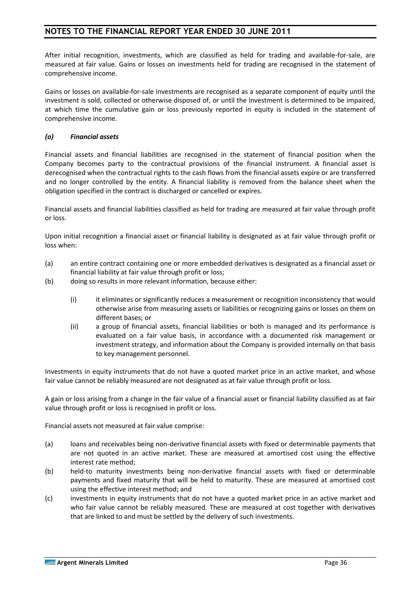After initial recognition, investments, which are classified as held for trading and available-for-sale, are measured at fair value. Gains or losses on investments held for trading are recognised in the statement of comprehensive income.

Gains or losses on available-for-sale investments are recognised as a separate component of equity until the investment is sold, collected or otherwise disposed of, or until the investment is determined to be impaired, at which time the cumulative gain or loss previously reported in equity is included in the statement of comprehensive income.

#### *(o) Financial assets*

Financial assets and financial liabilities are recognised in the statement of financial position when the Company becomes party to the contractual provisions of the financial instrument. A financial asset is derecognised when the contractual rights to the cash flows from the financial assets expire or are transferred and no longer controlled by the entity. A financial liability is removed from the balance sheet when the obligation specified in the contract is discharged or cancelled or expires.

Financial assets and financial liabilities classified as held for trading are measured at fair value through profit or loss.

Upon initial recognition a financial asset or financial liability is designated as at fair value through profit or loss when:

- (a) an entire contract containing one or more embedded derivatives is designated as a financial asset or financial liability at fair value through profit or loss;
- (b) doing so results in more relevant information, because either:
	- (i) it eliminates or significantly reduces a measurement or recognition inconsistency that would otherwise arise from measuring assets or liabilities or recognizing gains or losses on them on different bases; or
	- (ii) a group of financial assets, financial liabilities or both is managed and its performance is evaluated on a fair value basis, in accordance with a documented risk management or investment strategy, and information about the Company is provided internally on that basis to key management personnel.

Investments in equity instruments that do not have a quoted market price in an active market, and whose fair value cannot be reliably measured are not designated as at fair value through profit or loss.

A gain or loss arising from a change in the fair value of a financial asset or financial liability classified as at fair value through profit or loss is recognised in profit or loss.

Financial assets not measured at fair value comprise:

- (a) loans and receivables being non-derivative financial assets with fixed or determinable payments that are not quoted in an active market. These are measured at amortised cost using the effective interest rate method;
- (b) held-to maturity investments being non-derivative financial assets with fixed or determinable payments and fixed maturity that will be held to maturity. These are measured at amortised cost using the effective interest method; and
- (c) investments in equity instruments that do not have a quoted market price in an active market and who fair value cannot be reliably measured. These are measured at cost together with derivatives that are linked to and must be settled by the delivery of such investments.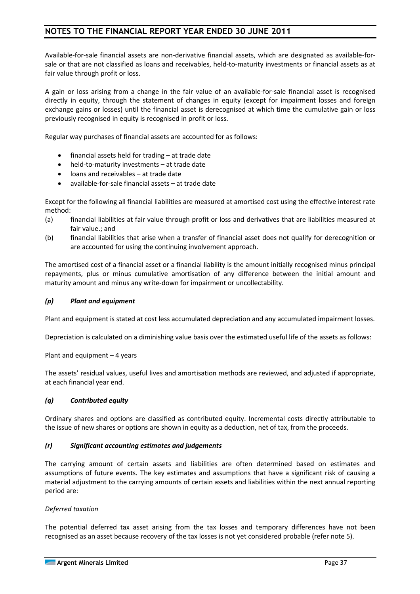Available-for-sale financial assets are non-derivative financial assets, which are designated as available-forsale or that are not classified as loans and receivables, held-to-maturity investments or financial assets as at fair value through profit or loss.

A gain or loss arising from a change in the fair value of an available-for-sale financial asset is recognised directly in equity, through the statement of changes in equity (except for impairment losses and foreign exchange gains or losses) until the financial asset is derecognised at which time the cumulative gain or loss previously recognised in equity is recognised in profit or loss.

Regular way purchases of financial assets are accounted for as follows:

- financial assets held for trading  $-$  at trade date
- held-to-maturity investments at trade date
- loans and receivables at trade date
- available-for-sale financial assets at trade date

Except for the following all financial liabilities are measured at amortised cost using the effective interest rate method:

- (a) financial liabilities at fair value through profit or loss and derivatives that are liabilities measured at fair value.; and
- (b) financial liabilities that arise when a transfer of financial asset does not qualify for derecognition or are accounted for using the continuing involvement approach.

The amortised cost of a financial asset or a financial liability is the amount initially recognised minus principal repayments, plus or minus cumulative amortisation of any difference between the initial amount and maturity amount and minus any write-down for impairment or uncollectability.

#### *(p) Plant and equipment*

Plant and equipment is stated at cost less accumulated depreciation and any accumulated impairment losses.

Depreciation is calculated on a diminishing value basis over the estimated useful life of the assets as follows:

Plant and equipment – 4 years

The assets' residual values, useful lives and amortisation methods are reviewed, and adjusted if appropriate, at each financial year end.

#### *(q) Contributed equity*

Ordinary shares and options are classified as contributed equity. Incremental costs directly attributable to the issue of new shares or options are shown in equity as a deduction, net of tax, from the proceeds.

#### *(r) Significant accounting estimates and judgements*

The carrying amount of certain assets and liabilities are often determined based on estimates and assumptions of future events. The key estimates and assumptions that have a significant risk of causing a material adjustment to the carrying amounts of certain assets and liabilities within the next annual reporting period are:

#### *Deferred taxation*

The potential deferred tax asset arising from the tax losses and temporary differences have not been recognised as an asset because recovery of the tax losses is not yet considered probable (refer note 5).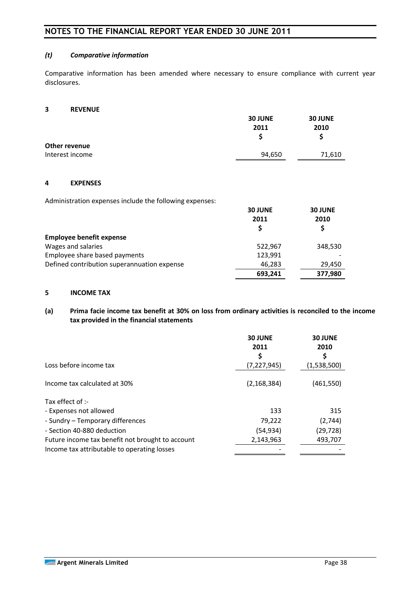#### *(t) Comparative information*

Comparative information has been amended where necessary to ensure compliance with current year disclosures.

#### **3 REVENUE**

|                 | <b>30 JUNE</b> | <b>30 JUNE</b> |
|-----------------|----------------|----------------|
|                 | 2011           | 2010           |
| Other revenue   |                |                |
| Interest income | 94,650         | 71,610         |

#### **4 EXPENSES**

Administration expenses include the following expenses:

|                                                       | <b>30 JUNE</b><br>2011 | <b>30 JUNE</b><br>2010 |
|-------------------------------------------------------|------------------------|------------------------|
| <b>Employee benefit expense</b><br>Wages and salaries | 522,967                | 348,530                |
| Employee share based payments                         | 123,991                |                        |
| Defined contribution superannuation expense           | 46,283                 | 29,450                 |
|                                                       | 693,241                | 377,980                |

## **5 INCOME TAX**

#### **(a) Prima facie income tax benefit at 30% on loss from ordinary activities is reconciled to the income tax provided in the financial statements**

|                                                  | <b>30 JUNE</b><br>2011<br>\$ | <b>30 JUNE</b><br>2010<br>S |
|--------------------------------------------------|------------------------------|-----------------------------|
| Loss before income tax                           | (7, 227, 945)                | (1,538,500)                 |
| Income tax calculated at 30%                     | (2, 168, 384)                | (461,550)                   |
| Tax effect of :-                                 |                              |                             |
| - Expenses not allowed                           | 133                          | 315                         |
| - Sundry - Temporary differences                 | 79,222                       | (2,744)                     |
| - Section 40-880 deduction                       | (54,934)                     | (29, 728)                   |
| Future income tax benefit not brought to account | 2,143,963                    | 493,707                     |
| Income tax attributable to operating losses      |                              |                             |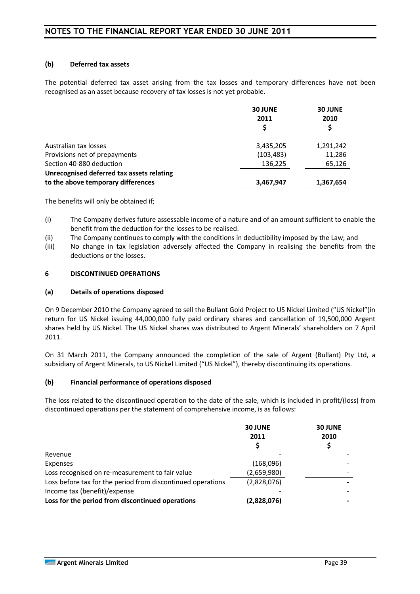#### **(b) Deferred tax assets**

The potential deferred tax asset arising from the tax losses and temporary differences have not been recognised as an asset because recovery of tax losses is not yet probable.

|                                                                                 | <b>30 JUNE</b><br>2011 | <b>30 JUNE</b><br>2010 |
|---------------------------------------------------------------------------------|------------------------|------------------------|
| Australian tax losses                                                           | 3,435,205              | 1,291,242              |
| Provisions net of prepayments                                                   | (103, 483)             | 11,286                 |
| Section 40-880 deduction                                                        | 136,225                | 65,126                 |
| Unrecognised deferred tax assets relating<br>to the above temporary differences | 3,467,947              | 1,367,654              |

The benefits will only be obtained if;

- (i) The Company derives future assessable income of a nature and of an amount sufficient to enable the benefit from the deduction for the losses to be realised.
- (ii) The Company continues to comply with the conditions in deductibility imposed by the Law; and
- (iii) No change in tax legislation adversely affected the Company in realising the benefits from the deductions or the losses.

#### **6 DISCONTINUED OPERATIONS**

#### **(a) Details of operations disposed**

On 9 December 2010 the Company agreed to sell the Bullant Gold Project to US Nickel Limited ("US Nickel")in return for US Nickel issuing 44,000,000 fully paid ordinary shares and cancellation of 19,500,000 Argent shares held by US Nickel. The US Nickel shares was distributed to Argent Minerals' shareholders on 7 April 2011.

On 31 March 2011, the Company announced the completion of the sale of Argent (Bullant) Pty Ltd, a subsidiary of Argent Minerals, to US Nickel Limited ("US Nickel"), thereby discontinuing its operations.

#### **(b) Financial performance of operations disposed**

The loss related to the discontinued operation to the date of the sale, which is included in profit/(loss) from discontinued operations per the statement of comprehensive income, is as follows:

|                                                             | <b>30 JUNE</b><br>2011 | <b>30 JUNE</b><br>2010<br>Ş |
|-------------------------------------------------------------|------------------------|-----------------------------|
| Revenue                                                     |                        |                             |
| Expenses                                                    | (168,096)              |                             |
| Loss recognised on re-measurement to fair value             | (2,659,980)            |                             |
| Loss before tax for the period from discontinued operations | (2,828,076)            |                             |
| Income tax (benefit)/expense                                |                        |                             |
| Loss for the period from discontinued operations            | (2,828,076)            |                             |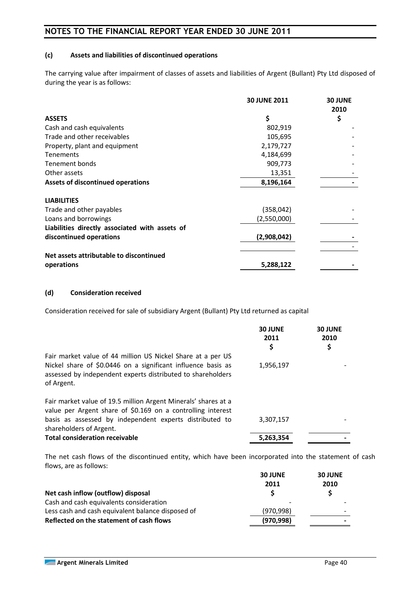#### **(c) Assets and liabilities of discontinued operations**

The carrying value after impairment of classes of assets and liabilities of Argent (Bullant) Pty Ltd disposed of during the year is as follows:

|                                                | <b>30 JUNE 2011</b> | <b>30 JUNE</b><br>2010 |
|------------------------------------------------|---------------------|------------------------|
| <b>ASSETS</b>                                  | \$                  | \$                     |
| Cash and cash equivalents                      | 802,919             |                        |
| Trade and other receivables                    | 105,695             |                        |
| Property, plant and equipment                  | 2,179,727           |                        |
| <b>Tenements</b>                               | 4,184,699           |                        |
| Tenement bonds                                 | 909,773             |                        |
| Other assets                                   | 13,351              |                        |
| <b>Assets of discontinued operations</b>       | 8,196,164           |                        |
| <b>LIABILITIES</b>                             |                     |                        |
| Trade and other payables                       | (358, 042)          |                        |
| Loans and borrowings                           | (2,550,000)         |                        |
| Liabilities directly associated with assets of |                     |                        |
| discontinued operations                        | (2,908,042)         |                        |
|                                                |                     |                        |
| Net assets attributable to discontinued        |                     |                        |
| operations                                     | 5,288,122           |                        |

#### **(d) Consideration received**

Consideration received for sale of subsidiary Argent (Bullant) Pty Ltd returned as capital

|                                                                                                                                                                                                                     | <b>30 JUNE</b><br>2011<br>\$ | <b>30 JUNE</b><br>2010<br>\$ |
|---------------------------------------------------------------------------------------------------------------------------------------------------------------------------------------------------------------------|------------------------------|------------------------------|
| Fair market value of 44 million US Nickel Share at a per US<br>Nickel share of \$0.0446 on a significant influence basis as<br>assessed by independent experts distributed to shareholders<br>of Argent.            | 1,956,197                    |                              |
| Fair market value of 19.5 million Argent Minerals' shares at a<br>value per Argent share of \$0.169 on a controlling interest<br>basis as assessed by independent experts distributed to<br>shareholders of Argent. | 3,307,157                    |                              |
| <b>Total consideration receivable</b>                                                                                                                                                                               | 5,263,354                    |                              |

The net cash flows of the discontinued entity, which have been incorporated into the statement of cash flows, are as follows:

|                                                   | <b>30 JUNE</b> | <b>30 JUNE</b> |
|---------------------------------------------------|----------------|----------------|
|                                                   | 2011           | 2010           |
| Net cash inflow (outflow) disposal                |                |                |
| Cash and cash equivalents consideration           |                |                |
| Less cash and cash equivalent balance disposed of | (970, 998)     |                |
| Reflected on the statement of cash flows          | (970, 998)     |                |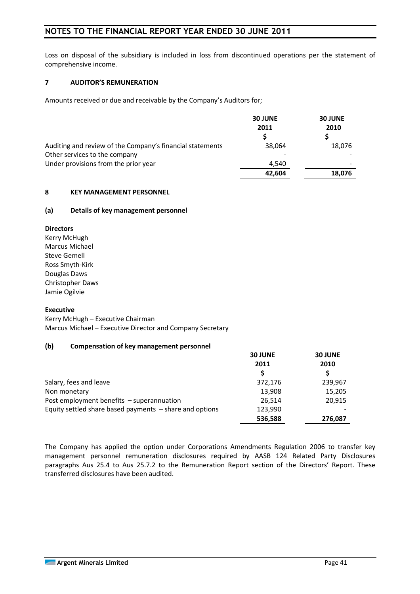Loss on disposal of the subsidiary is included in loss from discontinued operations per the statement of comprehensive income.

#### **7 AUDITOR'S REMUNERATION**

Amounts received or due and receivable by the Company's Auditors for;

|                                                           | <b>30 JUNE</b><br>2011 | <b>30 JUNE</b><br>2010 |
|-----------------------------------------------------------|------------------------|------------------------|
|                                                           |                        |                        |
| Auditing and review of the Company's financial statements | 38.064                 | 18,076                 |
| Other services to the company                             |                        |                        |
| Under provisions from the prior year                      | 4,540                  |                        |
|                                                           | 42.604                 | 18,076                 |

#### **8 KEY MANAGEMENT PERSONNEL**

#### **(a) Details of key management personnel**

#### **Directors**

Kerry McHugh Marcus Michael Steve Gemell Ross Smyth-Kirk Douglas Daws Christopher Daws Jamie Ogilvie

#### **Executive**

Kerry McHugh – Executive Chairman Marcus Michael – Executive Director and Company Secretary

#### **(b) Compensation of key management personnel**

|                                                           | <b>30 JUNE</b> | <b>30 JUNE</b> |  |
|-----------------------------------------------------------|----------------|----------------|--|
|                                                           | 2011           | 2010           |  |
|                                                           |                |                |  |
| Salary, fees and leave                                    | 372,176        | 239,967        |  |
| Non monetary                                              | 13,908         | 15,205         |  |
| Post employment benefits - superannuation                 | 26.514         | 20,915         |  |
| Equity settled share based payments $-$ share and options | 123,990        |                |  |
|                                                           | 536,588        | 276,087        |  |

The Company has applied the option under Corporations Amendments Regulation 2006 to transfer key management personnel remuneration disclosures required by AASB 124 Related Party Disclosures paragraphs Aus 25.4 to Aus 25.7.2 to the Remuneration Report section of the Directors' Report. These transferred disclosures have been audited.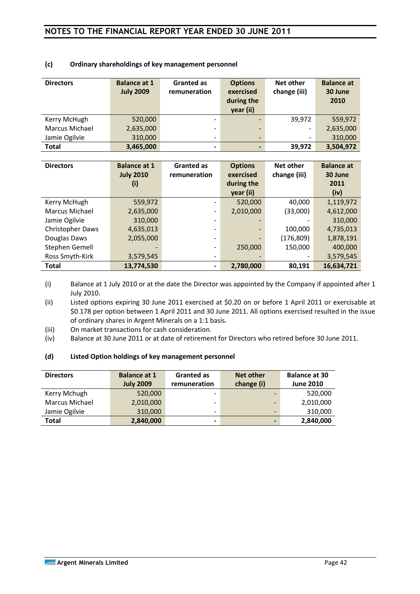| <b>Directors</b>      | <b>Balance at 1</b><br><b>July 2009</b> | <b>Granted as</b><br>remuneration | <b>Options</b><br>exercised<br>during the<br>year (ii) | Net other<br>change (iii) | <b>Balance at</b><br>30 June<br>2010 |
|-----------------------|-----------------------------------------|-----------------------------------|--------------------------------------------------------|---------------------------|--------------------------------------|
| Kerry McHugh          | 520,000                                 | $\qquad \qquad \blacksquare$      |                                                        | 39,972                    | 559,972                              |
| <b>Marcus Michael</b> | 2,635,000                               | ۰                                 | $\overline{\phantom{0}}$                               |                           | 2,635,000                            |
| Jamie Ogilvie         | 310,000                                 | $\qquad \qquad \blacksquare$      |                                                        |                           | 310,000                              |
| <b>Total</b>          | 3,465,000                               | $\blacksquare$                    |                                                        | 39,972                    | 3,504,972                            |

#### **(c) Ordinary shareholdings of key management personnel**

| <b>Directors</b> | <b>Balance at 1</b> | <b>Granted as</b> | <b>Options</b> | Net other    | <b>Balance at</b> |
|------------------|---------------------|-------------------|----------------|--------------|-------------------|
|                  | <b>July 2010</b>    | remuneration      | exercised      | change (iii) | 30 June           |
|                  | (i)                 |                   | during the     |              | 2011              |
|                  |                     |                   | year (ii)      |              | (iv)              |
| Kerry McHugh     | 559,972             |                   | 520,000        | 40,000       | 1,119,972         |
| Marcus Michael   | 2,635,000           |                   | 2,010,000      | (33,000)     | 4,612,000         |
| Jamie Ogilvie    | 310,000             |                   |                |              | 310,000           |
| Christopher Daws | 4,635,013           |                   |                | 100,000      | 4,735,013         |
| Douglas Daws     | 2,055,000           |                   |                | (176, 809)   | 1,878,191         |
| Stephen Gemell   |                     |                   | 250,000        | 150,000      | 400,000           |
| Ross Smyth-Kirk  | 3,579,545           |                   |                |              | 3,579,545         |
| <b>Total</b>     | 13,774,530          |                   | 2,780,000      | 80,191       | 16,634,721        |

(i) Balance at 1 July 2010 or at the date the Director was appointed by the Company if appointed after 1 July 2010.

(ii) Listed options expiring 30 June 2011 exercised at \$0.20 on or before 1 April 2011 or exercisable at \$0.178 per option between 1 April 2011 and 30 June 2011. All options exercised resulted in the issue of ordinary shares in Argent Minerals on a 1:1 basis.

- (iii) On market transactions for cash consideration.
- (iv) Balance at 30 June 2011 or at date of retirement for Directors who retired before 30 June 2011.

#### **(d) Listed Option holdings of key management personnel**

| <b>Directors</b> | <b>Balance at 1</b> | <b>Granted as</b>            | <b>Net other</b>         | <b>Balance at 30</b> |
|------------------|---------------------|------------------------------|--------------------------|----------------------|
|                  | <b>July 2009</b>    | remuneration                 | change (i)               | <b>June 2010</b>     |
| Kerry Mchugh     | 520,000             | $\overline{\phantom{a}}$     |                          | 520,000              |
| Marcus Michael   | 2,010,000           | $\qquad \qquad \blacksquare$ | -                        | 2,010,000            |
| Jamie Ogilvie    | 310,000             | $\overline{\phantom{a}}$     | -                        | 310,000              |
| <b>Total</b>     | 2,840,000           | ٠                            | $\overline{\phantom{0}}$ | 2,840,000            |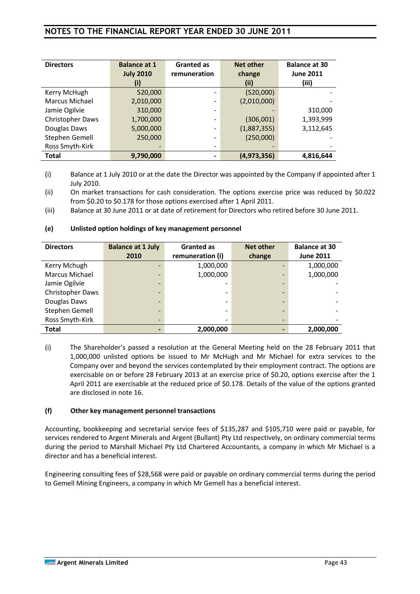| <b>Directors</b> | <b>Balance at 1</b> | <b>Granted as</b>            | <b>Net other</b> | <b>Balance at 30</b> |
|------------------|---------------------|------------------------------|------------------|----------------------|
|                  | <b>July 2010</b>    | remuneration                 | change           | <b>June 2011</b>     |
|                  | (i)                 |                              | (iii)            | (iii)                |
| Kerry McHugh     | 520,000             |                              | (520,000)        |                      |
| Marcus Michael   | 2,010,000           | $\qquad \qquad \blacksquare$ | (2,010,000)      |                      |
| Jamie Ogilvie    | 310,000             |                              |                  | 310,000              |
| Christopher Daws | 1,700,000           | -                            | (306,001)        | 1,393,999            |
| Douglas Daws     | 5,000,000           | -                            | (1,887,355)      | 3,112,645            |
| Stephen Gemell   | 250,000             |                              | (250,000)        |                      |
| Ross Smyth-Kirk  |                     |                              |                  |                      |
| <b>Total</b>     | 9,790,000           |                              | (4, 973, 356)    | 4,816,644            |

(i) Balance at 1 July 2010 or at the date the Director was appointed by the Company if appointed after 1 July 2010.

(ii) On market transactions for cash consideration. The options exercise price was reduced by \$0.022 from \$0.20 to \$0.178 for those options exercised after 1 April 2011.

(iii) Balance at 30 June 2011 or at date of retirement for Directors who retired before 30 June 2011.

#### **(e) Unlisted option holdings of key management personnel**

| <b>Directors</b> | <b>Balance at 1 July</b> | <b>Granted as</b> | <b>Net other</b> | <b>Balance at 30</b> |
|------------------|--------------------------|-------------------|------------------|----------------------|
|                  | 2010                     | remuneration (i)  | change           | <b>June 2011</b>     |
| Kerry Mchugh     |                          | 1,000,000         |                  | 1,000,000            |
| Marcus Michael   |                          | 1,000,000         |                  | 1,000,000            |
| Jamie Ogilvie    |                          |                   |                  |                      |
| Christopher Daws |                          |                   |                  |                      |
| Douglas Daws     |                          |                   |                  |                      |
| Stephen Gemell   | -                        |                   |                  |                      |
| Ross Smyth-Kirk  |                          |                   |                  |                      |
| Total            |                          | 2,000,000         |                  | 2,000,000            |

(i) The Shareholder's passed a resolution at the General Meeting held on the 28 February 2011 that 1,000,000 unlisted options be issued to Mr McHugh and Mr Michael for extra services to the Company over and beyond the services contemplated by their employment contract. The options are exercisable on or before 28 February 2013 at an exercise price of \$0.20, options exercise after the 1 April 2011 are exercisable at the reduced price of \$0.178. Details of the value of the options granted are disclosed in note 16.

#### **(f) Other key management personnel transactions**

Accounting, bookkeeping and secretarial service fees of \$135,287 and \$105,710 were paid or payable, for services rendered to Argent Minerals and Argent (Bullant) Pty Ltd respectively, on ordinary commercial terms during the period to Marshall Michael Pty Ltd Chartered Accountants, a company in which Mr Michael is a director and has a beneficial interest.

Engineering consulting fees of \$28,568 were paid or payable on ordinary commercial terms during the period to Gemell Mining Engineers, a company in which Mr Gemell has a beneficial interest.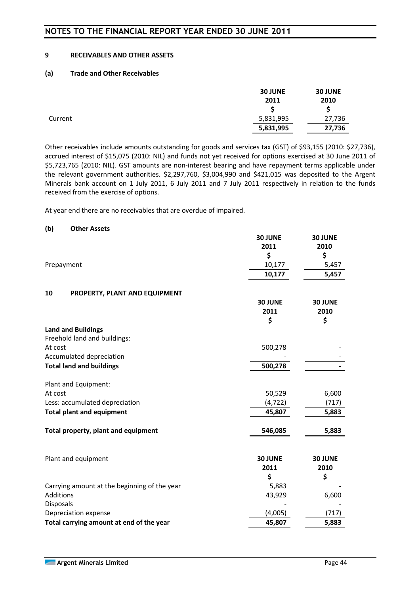#### **9 RECEIVABLES AND OTHER ASSETS**

#### **(a) Trade and Other Receivables**

|         | <b>30 JUNE</b> | <b>30 JUNE</b> |
|---------|----------------|----------------|
|         | 2011           | 2010           |
|         |                |                |
| Current | 5,831,995      | 27,736         |
|         | 5,831,995      | 27,736         |

Other receivables include amounts outstanding for goods and services tax (GST) of \$93,155 (2010: \$27,736), accrued interest of \$15,075 (2010: NIL) and funds not yet received for options exercised at 30 June 2011 of \$5,723,765 (2010: NIL). GST amounts are non-interest bearing and have repayment terms applicable under the relevant government authorities. \$2,297,760, \$3,004,990 and \$421,015 was deposited to the Argent Minerals bank account on 1 July 2011, 6 July 2011 and 7 July 2011 respectively in relation to the funds received from the exercise of options.

At year end there are no receivables that are overdue of impaired.

#### **(b) Other Assets**

|                                              | <b>30 JUNE</b><br>2011<br>\$ | <b>30 JUNE</b><br>2010<br>\$ |
|----------------------------------------------|------------------------------|------------------------------|
| Prepayment                                   | 10,177                       | 5,457                        |
|                                              | 10,177                       | 5,457                        |
| 10<br>PROPERTY, PLANT AND EQUIPMENT          |                              |                              |
|                                              | 30 JUNE                      | 30 JUNE                      |
|                                              | 2011                         | 2010                         |
|                                              | \$                           | \$                           |
| <b>Land and Buildings</b>                    |                              |                              |
| Freehold land and buildings:                 |                              |                              |
| At cost                                      | 500,278                      |                              |
| Accumulated depreciation                     |                              |                              |
| <b>Total land and buildings</b>              | 500,278                      |                              |
| Plant and Equipment:                         |                              |                              |
| At cost                                      | 50,529                       | 6,600                        |
| Less: accumulated depreciation               | (4, 722)                     | (717)                        |
| <b>Total plant and equipment</b>             | 45,807                       | 5,883                        |
| Total property, plant and equipment          | 546,085                      | 5,883                        |
|                                              |                              |                              |
|                                              |                              |                              |
| Plant and equipment                          | <b>30 JUNE</b><br>2011       | <b>30 JUNE</b>               |
|                                              | \$                           | 2010<br>\$                   |
| Carrying amount at the beginning of the year | 5,883                        |                              |
| Additions                                    | 43,929                       | 6,600                        |
| <b>Disposals</b>                             |                              |                              |
| Depreciation expense                         | (4,005)                      | (717)                        |
| Total carrying amount at end of the year     | 45,807                       | 5,883                        |
|                                              |                              |                              |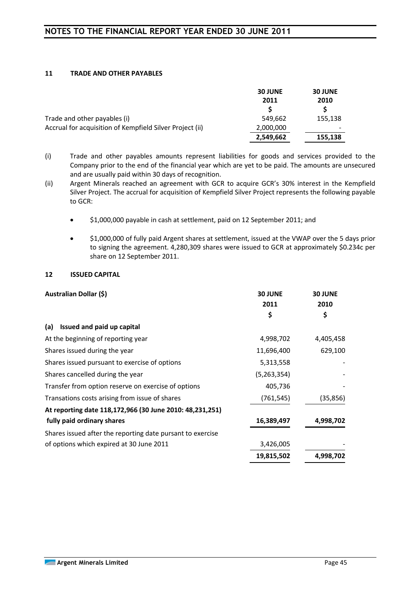#### **11 TRADE AND OTHER PAYABLES**

|                                                          | <b>30 JUNE</b><br>2011 | <b>30 JUNE</b><br>2010 |
|----------------------------------------------------------|------------------------|------------------------|
| Trade and other payables (i)                             | 549,662                | 155,138                |
| Accrual for acquisition of Kempfield Silver Project (ii) | 2,000,000              |                        |
|                                                          | 2,549,662              | 155,138                |

- (i) Trade and other payables amounts represent liabilities for goods and services provided to the Company prior to the end of the financial year which are yet to be paid. The amounts are unsecured and are usually paid within 30 days of recognition.
- (ii) Argent Minerals reached an agreement with GCR to acquire GCR's 30% interest in the Kempfield Silver Project. The accrual for acquisition of Kempfield Silver Project represents the following payable to GCR:
	- \$1,000,000 payable in cash at settlement, paid on 12 September 2011; and
	- \$1,000,000 of fully paid Argent shares at settlement, issued at the VWAP over the 5 days prior to signing the agreement. 4,280,309 shares were issued to GCR at approximately \$0.234c per share on 12 September 2011.

#### **12 ISSUED CAPITAL**

| Australian Dollar (\$)                                     | <b>30 JUNE</b><br>2011 | <b>30 JUNE</b><br>2010 |
|------------------------------------------------------------|------------------------|------------------------|
|                                                            | \$                     | \$                     |
| Issued and paid up capital<br>(a)                          |                        |                        |
| At the beginning of reporting year                         | 4,998,702              | 4,405,458              |
| Shares issued during the year                              | 11,696,400             | 629,100                |
| Shares issued pursuant to exercise of options              | 5,313,558              |                        |
| Shares cancelled during the year                           | (5,263,354)            |                        |
| Transfer from option reserve on exercise of options        | 405,736                |                        |
| Transations costs arising from issue of shares             | (761, 545)             | (35, 856)              |
| At reporting date 118,172,966 (30 June 2010: 48,231,251)   |                        |                        |
| fully paid ordinary shares                                 | 16,389,497             | 4,998,702              |
| Shares issued after the reporting date pursant to exercise |                        |                        |
| of options which expired at 30 June 2011                   | 3,426,005              |                        |
|                                                            | 19,815,502             | 4,998,702              |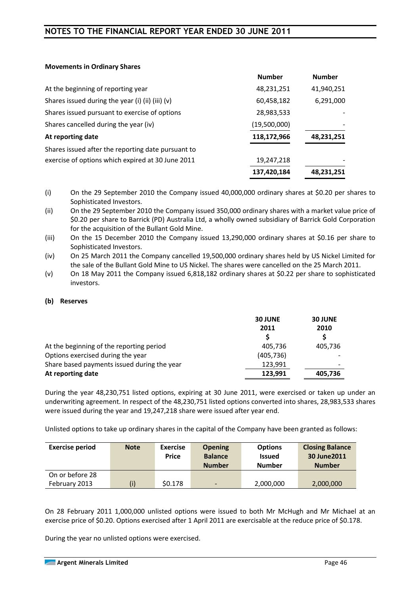#### **Movements in Ordinary Shares**

|                                                    | <b>Number</b> | <b>Number</b> |
|----------------------------------------------------|---------------|---------------|
| At the beginning of reporting year                 | 48,231,251    | 41,940,251    |
| Shares issued during the year (i) (ii) (iii) (v)   | 60,458,182    | 6,291,000     |
| Shares issued pursuant to exercise of options      | 28,983,533    |               |
| Shares cancelled during the year (iv)              | (19,500,000)  |               |
| At reporting date                                  | 118,172,966   | 48,231,251    |
| Shares issued after the reporting date pursuant to |               |               |
| exercise of options which expired at 30 June 2011  | 19,247,218    |               |
|                                                    | 137,420,184   | 48,231,251    |

(i) On the 29 September 2010 the Company issued 40,000,000 ordinary shares at \$0.20 per shares to Sophisticated Investors.

(ii) On the 29 September 2010 the Company issued 350,000 ordinary shares with a market value price of \$0.20 per share to Barrick (PD) Australia Ltd, a wholly owned subsidiary of Barrick Gold Corporation for the acquisition of the Bullant Gold Mine.

(iii) On the 15 December 2010 the Company issued 13,290,000 ordinary shares at \$0.16 per share to Sophisticated Investors.

(iv) On 25 March 2011 the Company cancelled 19,500,000 ordinary shares held by US Nickel Limited for the sale of the Bullant Gold Mine to US Nickel. The shares were cancelled on the 25 March 2011.

(v) On 18 May 2011 the Company issued 6,818,182 ordinary shares at \$0.22 per share to sophisticated investors.

#### **(b) Reserves**

| <b>30 JUNE</b> | <b>30 JUNE</b> |  |
|----------------|----------------|--|
| 2011           | 2010           |  |
|                |                |  |
| 405,736        | 405,736        |  |
| (405, 736)     |                |  |
| 123,991        |                |  |
| 123,991        | 405,736        |  |
|                |                |  |

During the year 48,230,751 listed options, expiring at 30 June 2011, were exercised or taken up under an underwriting agreement. In respect of the 48,230,751 listed options converted into shares, 28,983,533 shares were issued during the year and 19,247,218 share were issued after year end.

Unlisted options to take up ordinary shares in the capital of the Company have been granted as follows:

| <b>Exercise period</b> | <b>Note</b> | <b>Exercise</b><br>Price | <b>Opening</b><br><b>Balance</b><br><b>Number</b> | <b>Options</b><br><b>Issued</b><br><b>Number</b> | <b>Closing Balance</b><br>30 June 2011<br><b>Number</b> |
|------------------------|-------------|--------------------------|---------------------------------------------------|--------------------------------------------------|---------------------------------------------------------|
| On or before 28        |             |                          |                                                   |                                                  |                                                         |
| February 2013          | (i)         | \$0.178                  | $\overline{\phantom{a}}$                          | 2,000,000                                        | 2,000,000                                               |

On 28 February 2011 1,000,000 unlisted options were issued to both Mr McHugh and Mr Michael at an exercise price of \$0.20. Options exercised after 1 April 2011 are exercisable at the reduce price of \$0.178.

During the year no unlisted options were exercised.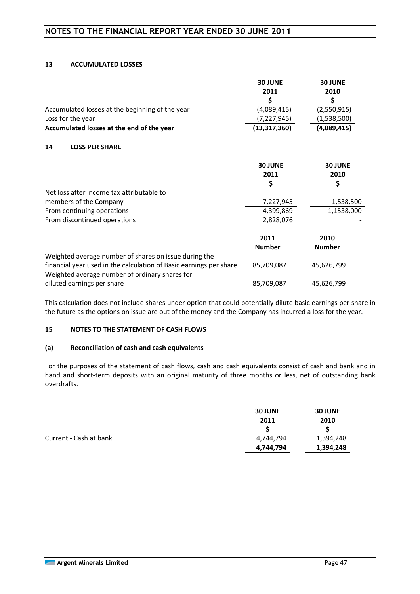#### **13 ACCUMULATED LOSSES**

|                                                                    | <b>30 JUNE</b><br>2011 | <b>30 JUNE</b><br>2010 |
|--------------------------------------------------------------------|------------------------|------------------------|
|                                                                    | \$                     | \$                     |
| Accumulated losses at the beginning of the year                    | (4,089,415)            | (2,550,915)            |
| Loss for the year                                                  | (7, 227, 945)          | (1,538,500)            |
| Accumulated losses at the end of the year                          | (13, 317, 360)         | (4,089,415)            |
| 14<br><b>LOSS PER SHARE</b>                                        |                        |                        |
|                                                                    | <b>30 JUNE</b>         | <b>30 JUNE</b>         |
|                                                                    | 2011                   | 2010                   |
|                                                                    | \$                     | \$                     |
| Net loss after income tax attributable to                          |                        |                        |
| members of the Company                                             | 7,227,945              | 1,538,500              |
| From continuing operations                                         | 4,399,869              | 1,1538,000             |
| From discontinued operations                                       | 2,828,076              |                        |
|                                                                    | 2011                   | 2010                   |
|                                                                    | <b>Number</b>          | <b>Number</b>          |
| Weighted average number of shares on issue during the              |                        |                        |
| financial year used in the calculation of Basic earnings per share | 85,709,087             | 45,626,799             |
| Weighted average number of ordinary shares for                     |                        |                        |
| diluted earnings per share                                         | 85,709,087             | 45,626,799             |

This calculation does not include shares under option that could potentially dilute basic earnings per share in the future as the options on issue are out of the money and the Company has incurred a loss for the year.

#### **15 NOTES TO THE STATEMENT OF CASH FLOWS**

#### **(a) Reconciliation of cash and cash equivalents**

For the purposes of the statement of cash flows, cash and cash equivalents consist of cash and bank and in hand and short-term deposits with an original maturity of three months or less, net of outstanding bank overdrafts.

|                        | <b>30 JUNE</b> | <b>30 JUNE</b> |
|------------------------|----------------|----------------|
|                        | 2011           | 2010           |
|                        |                |                |
| Current - Cash at bank | 4,744,794      | 1,394,248      |
|                        | 4,744,794      | 1,394,248      |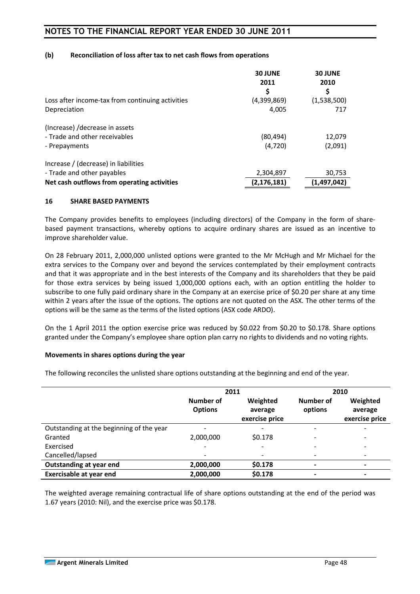#### **(b) Reconciliation of loss after tax to net cash flows from operations**

|                                                  | <b>30 JUNE</b><br>2011<br>\$ | <b>30 JUNE</b><br>2010<br>S |
|--------------------------------------------------|------------------------------|-----------------------------|
| Loss after income-tax from continuing activities | (4,399,869)                  | (1,538,500)                 |
| Depreciation                                     | 4,005                        | 717                         |
| (Increase) / decrease in assets                  |                              |                             |
| - Trade and other receivables                    | (80, 494)                    | 12,079                      |
| - Prepayments                                    | (4,720)                      | (2,091)                     |
| Increase / (decrease) in liabilities             |                              |                             |
| - Trade and other payables                       | 2,304,897                    | 30,753                      |
| Net cash outflows from operating activities      | (2, 176, 181)                | (1, 497, 042)               |

#### **16 SHARE BASED PAYMENTS**

The Company provides benefits to employees (including directors) of the Company in the form of sharebased payment transactions, whereby options to acquire ordinary shares are issued as an incentive to improve shareholder value.

On 28 February 2011, 2,000,000 unlisted options were granted to the Mr McHugh and Mr Michael for the extra services to the Company over and beyond the services contemplated by their employment contracts and that it was appropriate and in the best interests of the Company and its shareholders that they be paid for those extra services by being issued 1,000,000 options each, with an option entitling the holder to subscribe to one fully paid ordinary share in the Company at an exercise price of \$0.20 per share at any time within 2 years after the issue of the options. The options are not quoted on the ASX. The other terms of the options will be the same as the terms of the listed options (ASX code ARDO).

On the 1 April 2011 the option exercise price was reduced by \$0.022 from \$0.20 to \$0.178. Share options granted under the Company's employee share option plan carry no rights to dividends and no voting rights.

#### **Movements in shares options during the year**

The following reconciles the unlisted share options outstanding at the beginning and end of the year.

|                                          |                             | 2011                                  |                          | 2010                                  |
|------------------------------------------|-----------------------------|---------------------------------------|--------------------------|---------------------------------------|
|                                          | Number of<br><b>Options</b> | Weighted<br>average<br>exercise price | Number of<br>options     | Weighted<br>average<br>exercise price |
| Outstanding at the beginning of the year | -                           |                                       | $\overline{\phantom{a}}$ | -                                     |
| Granted                                  | 2,000,000                   | \$0.178                               | $\overline{\phantom{a}}$ |                                       |
| Exercised                                |                             |                                       | -                        |                                       |
| Cancelled/lapsed                         |                             |                                       | $\overline{\phantom{a}}$ |                                       |
| <b>Outstanding at year end</b>           | 2,000,000                   | \$0.178                               | $\blacksquare$           | -                                     |
| <b>Exercisable at year end</b>           | 2,000,000                   | \$0.178                               | ٠                        |                                       |

The weighted average remaining contractual life of share options outstanding at the end of the period was 1.67 years (2010: Nil), and the exercise price was \$0.178.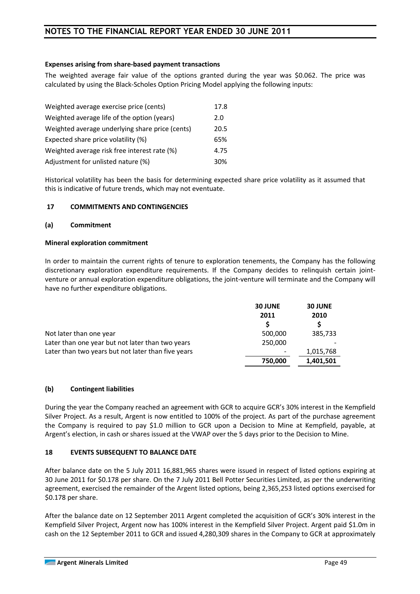#### **Expenses arising from share-based payment transactions**

The weighted average fair value of the options granted during the year was \$0.062. The price was calculated by using the Black-Scholes Option Pricing Model applying the following inputs:

| Weighted average exercise price (cents)         | 17.8 |
|-------------------------------------------------|------|
| Weighted average life of the option (years)     | 2.0  |
| Weighted average underlying share price (cents) | 20.5 |
| Expected share price volatility (%)             | 65%  |
| Weighted average risk free interest rate (%)    | 4.75 |
| Adjustment for unlisted nature (%)              | 30%  |

Historical volatility has been the basis for determining expected share price volatility as it assumed that this is indicative of future trends, which may not eventuate.

#### **17 COMMITMENTS AND CONTINGENCIES**

#### **(a) Commitment**

#### **Mineral exploration commitment**

In order to maintain the current rights of tenure to exploration tenements, the Company has the following discretionary exploration expenditure requirements. If the Company decides to relinquish certain jointventure or annual exploration expenditure obligations, the joint-venture will terminate and the Company will have no further expenditure obligations.

| <b>30 JUNE</b>           | <b>30 JUNE</b> |
|--------------------------|----------------|
| 2011                     | 2010           |
|                          |                |
| 500,000                  | 385,733        |
| 250,000                  |                |
| $\overline{\phantom{a}}$ | 1,015,768      |
| 750,000                  | 1,401,501      |
|                          |                |

#### **(b) Contingent liabilities**

During the year the Company reached an agreement with GCR to acquire GCR's 30% interest in the Kempfield Silver Project. As a result, Argent is now entitled to 100% of the project. As part of the purchase agreement the Company is required to pay \$1.0 million to GCR upon a Decision to Mine at Kempfield, payable, at Argent's election, in cash or shares issued at the VWAP over the 5 days prior to the Decision to Mine.

#### **18 EVENTS SUBSEQUENT TO BALANCE DATE**

After balance date on the 5 July 2011 16,881,965 shares were issued in respect of listed options expiring at 30 June 2011 for \$0.178 per share. On the 7 July 2011 Bell Potter Securities Limited, as per the underwriting agreement, exercised the remainder of the Argent listed options, being 2,365,253 listed options exercised for \$0.178 per share.

After the balance date on 12 September 2011 Argent completed the acquisition of GCR's 30% interest in the Kempfield Silver Project, Argent now has 100% interest in the Kempfield Silver Project. Argent paid \$1.0m in cash on the 12 September 2011 to GCR and issued 4,280,309 shares in the Company to GCR at approximately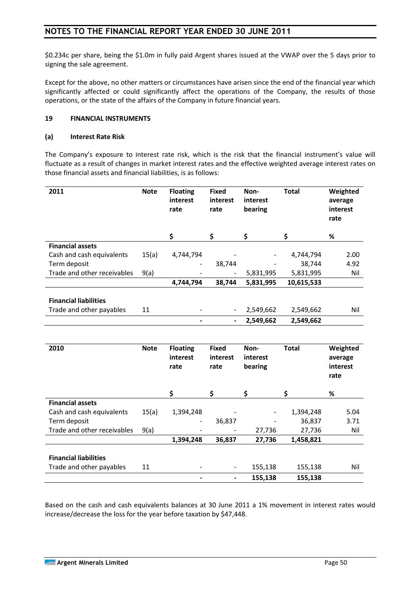\$0.234c per share, being the \$1.0m in fully paid Argent shares issued at the VWAP over the 5 days prior to signing the sale agreement.

Except for the above, no other matters or circumstances have arisen since the end of the financial year which significantly affected or could significantly affect the operations of the Company, the results of those operations, or the state of the affairs of the Company in future financial years.

#### **19 FINANCIAL INSTRUMENTS**

#### **(a) Interest Rate Risk**

The Company's exposure to interest rate risk, which is the risk that the financial instrument's value will fluctuate as a result of changes in market interest rates and the effective weighted average interest rates on those financial assets and financial liabilities, is as follows:

| 2011                         | <b>Note</b> | <b>Floating</b><br>interest<br>rate | <b>Fixed</b><br>interest<br>rate | Non-<br>interest<br>bearing | <b>Total</b> | Weighted<br>average<br>interest<br>rate |
|------------------------------|-------------|-------------------------------------|----------------------------------|-----------------------------|--------------|-----------------------------------------|
|                              |             | \$                                  | \$                               | \$                          | \$           | ℅                                       |
| <b>Financial assets</b>      |             |                                     |                                  |                             |              |                                         |
| Cash and cash equivalents    | 15(a)       | 4,744,794                           |                                  |                             | 4,744,794    | 2.00                                    |
| Term deposit                 |             | $\overline{\phantom{a}}$            | 38,744                           |                             | 38,744       | 4.92                                    |
| Trade and other receivables  | 9(a)        |                                     | -                                | 5,831,995                   | 5,831,995    | Nil                                     |
|                              |             | 4,744,794                           | 38,744                           | 5,831,995                   | 10,615,533   |                                         |
| <b>Financial liabilities</b> |             |                                     |                                  |                             |              |                                         |
| Trade and other payables     | 11          |                                     | $\qquad \qquad \blacksquare$     | 2,549,662                   | 2,549,662    | Nil                                     |
|                              |             |                                     | $\blacksquare$                   | 2,549,662                   | 2,549,662    |                                         |

| 2010                         | <b>Note</b> | <b>Floating</b><br>interest<br>rate | <b>Fixed</b><br>interest<br>rate | Non-<br>interest<br>bearing | <b>Total</b> | Weighted<br>average<br>interest<br>rate |
|------------------------------|-------------|-------------------------------------|----------------------------------|-----------------------------|--------------|-----------------------------------------|
|                              |             | \$                                  | \$                               | \$                          | \$           | %                                       |
| <b>Financial assets</b>      |             |                                     |                                  |                             |              |                                         |
| Cash and cash equivalents    | 15(a)       | 1,394,248                           |                                  |                             | 1,394,248    | 5.04                                    |
| Term deposit                 |             | -                                   | 36,837                           |                             | 36,837       | 3.71                                    |
| Trade and other receivables  | 9(a)        |                                     |                                  | 27,736                      | 27,736       | Nil                                     |
|                              |             | 1,394,248                           | 36,837                           | 27,736                      | 1,458,821    |                                         |
| <b>Financial liabilities</b> |             |                                     |                                  |                             |              |                                         |
| Trade and other payables     | 11          | $\qquad \qquad \blacksquare$        | $\blacksquare$                   | 155,138                     | 155,138      | Nil                                     |
|                              |             |                                     | $\blacksquare$                   | 155,138                     | 155,138      |                                         |

Based on the cash and cash equivalents balances at 30 June 2011 a 1% movement in interest rates would increase/decrease the loss for the year before taxation by \$47,448.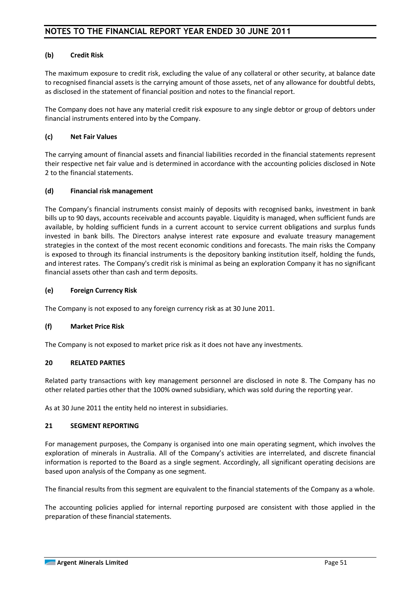#### **(b) Credit Risk**

The maximum exposure to credit risk, excluding the value of any collateral or other security, at balance date to recognised financial assets is the carrying amount of those assets, net of any allowance for doubtful debts, as disclosed in the statement of financial position and notes to the financial report.

The Company does not have any material credit risk exposure to any single debtor or group of debtors under financial instruments entered into by the Company.

#### **(c) Net Fair Values**

The carrying amount of financial assets and financial liabilities recorded in the financial statements represent their respective net fair value and is determined in accordance with the accounting policies disclosed in Note 2 to the financial statements.

#### **(d) Financial risk management**

The Company's financial instruments consist mainly of deposits with recognised banks, investment in bank bills up to 90 days, accounts receivable and accounts payable. Liquidity is managed, when sufficient funds are available, by holding sufficient funds in a current account to service current obligations and surplus funds invested in bank bills. The Directors analyse interest rate exposure and evaluate treasury management strategies in the context of the most recent economic conditions and forecasts. The main risks the Company is exposed to through its financial instruments is the depository banking institution itself, holding the funds, and interest rates. The Company's credit risk is minimal as being an exploration Company it has no significant financial assets other than cash and term deposits.

#### **(e) Foreign Currency Risk**

The Company is not exposed to any foreign currency risk as at 30 June 2011.

#### **(f) Market Price Risk**

The Company is not exposed to market price risk as it does not have any investments.

#### **20 RELATED PARTIES**

Related party transactions with key management personnel are disclosed in note 8. The Company has no other related parties other that the 100% owned subsidiary, which was sold during the reporting year.

As at 30 June 2011 the entity held no interest in subsidiaries.

#### **21 SEGMENT REPORTING**

For management purposes, the Company is organised into one main operating segment, which involves the exploration of minerals in Australia. All of the Company's activities are interrelated, and discrete financial information is reported to the Board as a single segment. Accordingly, all significant operating decisions are based upon analysis of the Company as one segment.

The financial results from this segment are equivalent to the financial statements of the Company as a whole.

The accounting policies applied for internal reporting purposed are consistent with those applied in the preparation of these financial statements.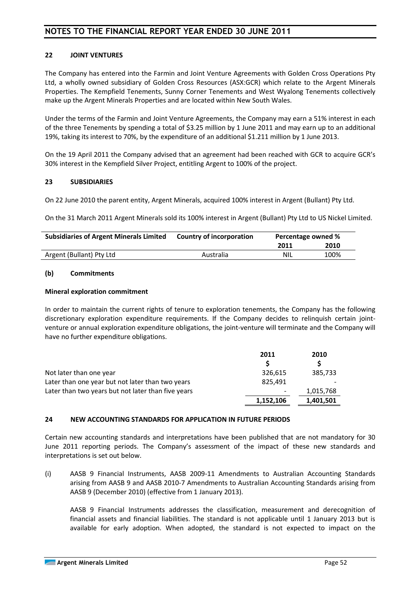#### **22 JOINT VENTURES**

The Company has entered into the Farmin and Joint Venture Agreements with Golden Cross Operations Pty Ltd, a wholly owned subsidiary of Golden Cross Resources (ASX:GCR) which relate to the Argent Minerals Properties. The Kempfield Tenements, Sunny Corner Tenements and West Wyalong Tenements collectively make up the Argent Minerals Properties and are located within New South Wales.

Under the terms of the Farmin and Joint Venture Agreements, the Company may earn a 51% interest in each of the three Tenements by spending a total of \$3.25 million by 1 June 2011 and may earn up to an additional 19%, taking its interest to 70%, by the expenditure of an additional \$1.211 million by 1 June 2013.

On the 19 April 2011 the Company advised that an agreement had been reached with GCR to acquire GCR's 30% interest in the Kempfield Silver Project, entitling Argent to 100% of the project.

#### **23 SUBSIDIARIES**

On 22 June 2010 the parent entity, Argent Minerals, acquired 100% interest in Argent (Bullant) Pty Ltd.

On the 31 March 2011 Argent Minerals sold its 100% interest in Argent (Bullant) Pty Ltd to US Nickel Limited.

| <b>Subsidiaries of Argent Minerals Limited</b> | <b>Country of incorporation</b> | Percentage owned % |      |
|------------------------------------------------|---------------------------------|--------------------|------|
|                                                |                                 | 2011               | 2010 |
| Argent (Bullant) Pty Ltd                       | Australia                       | NIL                | 100% |

#### **(b) Commitments**

#### **Mineral exploration commitment**

In order to maintain the current rights of tenure to exploration tenements, the Company has the following discretionary exploration expenditure requirements. If the Company decides to relinquish certain jointventure or annual exploration expenditure obligations, the joint-venture will terminate and the Company will have no further expenditure obligations.

|                                                    | 2011                     | 2010      |
|----------------------------------------------------|--------------------------|-----------|
|                                                    |                          |           |
| Not later than one year                            | 326.615                  | 385.733   |
| Later than one year but not later than two years   | 825.491                  |           |
| Later than two years but not later than five years | $\overline{\phantom{a}}$ | 1,015,768 |
|                                                    | 1,152,106                | 1,401,501 |

#### **24 NEW ACCOUNTING STANDARDS FOR APPLICATION IN FUTURE PERIODS**

Certain new accounting standards and interpretations have been published that are not mandatory for 30 June 2011 reporting periods. The Company's assessment of the impact of these new standards and interpretations is set out below.

(i) AASB 9 Financial Instruments, AASB 2009-11 Amendments to Australian Accounting Standards arising from AASB 9 and AASB 2010-7 Amendments to Australian Accounting Standards arising from AASB 9 (December 2010) (effective from 1 January 2013).

AASB 9 Financial Instruments addresses the classification, measurement and derecognition of financial assets and financial liabilities. The standard is not applicable until 1 January 2013 but is available for early adoption. When adopted, the standard is not expected to impact on the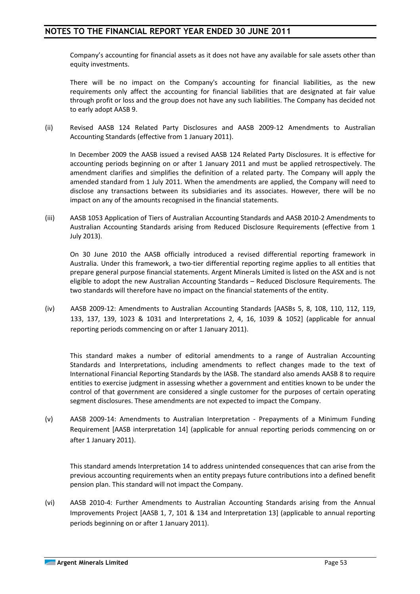Company's accounting for financial assets as it does not have any available for sale assets other than equity investments.

There will be no impact on the Company's accounting for financial liabilities, as the new requirements only affect the accounting for financial liabilities that are designated at fair value through profit or loss and the group does not have any such liabilities. The Company has decided not to early adopt AASB 9.

(ii) Revised AASB 124 Related Party Disclosures and AASB 2009-12 Amendments to Australian Accounting Standards (effective from 1 January 2011).

In December 2009 the AASB issued a revised AASB 124 Related Party Disclosures. It is effective for accounting periods beginning on or after 1 January 2011 and must be applied retrospectively. The amendment clarifies and simplifies the definition of a related party. The Company will apply the amended standard from 1 July 2011. When the amendments are applied, the Company will need to disclose any transactions between its subsidiaries and its associates. However, there will be no impact on any of the amounts recognised in the financial statements.

(iii) AASB 1053 Application of Tiers of Australian Accounting Standards and AASB 2010-2 Amendments to Australian Accounting Standards arising from Reduced Disclosure Requirements (effective from 1 July 2013).

On 30 June 2010 the AASB officially introduced a revised differential reporting framework in Australia. Under this framework, a two-tier differential reporting regime applies to all entities that prepare general purpose financial statements. Argent Minerals Limited is listed on the ASX and is not eligible to adopt the new Australian Accounting Standards – Reduced Disclosure Requirements. The two standards will therefore have no impact on the financial statements of the entity.

(iv) AASB 2009-12: Amendments to Australian Accounting Standards [AASBs 5, 8, 108, 110, 112, 119, 133, 137, 139, 1023 & 1031 and Interpretations 2, 4, 16, 1039 & 1052] (applicable for annual reporting periods commencing on or after 1 January 2011).

This standard makes a number of editorial amendments to a range of Australian Accounting Standards and Interpretations, including amendments to reflect changes made to the text of International Financial Reporting Standards by the IASB. The standard also amends AASB 8 to require entities to exercise judgment in assessing whether a government and entities known to be under the control of that government are considered a single customer for the purposes of certain operating segment disclosures. These amendments are not expected to impact the Company.

(v) AASB 2009-14: Amendments to Australian Interpretation - Prepayments of a Minimum Funding Requirement [AASB interpretation 14] (applicable for annual reporting periods commencing on or after 1 January 2011).

This standard amends Interpretation 14 to address unintended consequences that can arise from the previous accounting requirements when an entity prepays future contributions into a defined benefit pension plan. This standard will not impact the Company.

(vi) AASB 2010-4: Further Amendments to Australian Accounting Standards arising from the Annual Improvements Project [AASB 1, 7, 101 & 134 and Interpretation 13] (applicable to annual reporting periods beginning on or after 1 January 2011).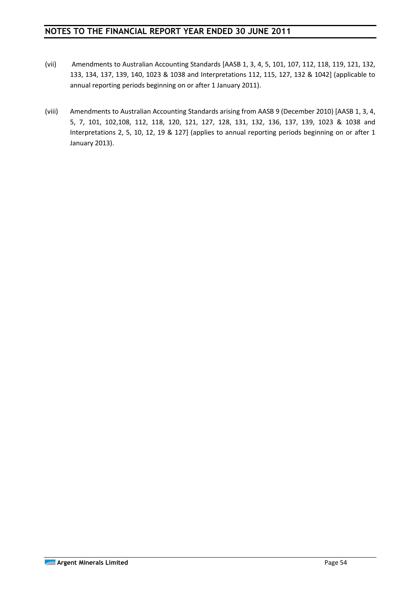- (vii) Amendments to Australian Accounting Standards [AASB 1, 3, 4, 5, 101, 107, 112, 118, 119, 121, 132, 133, 134, 137, 139, 140, 1023 & 1038 and Interpretations 112, 115, 127, 132 & 1042] (applicable to annual reporting periods beginning on or after 1 January 2011).
- (viii) Amendments to Australian Accounting Standards arising from AASB 9 (December 2010) [AASB 1, 3, 4, 5, 7, 101, 102,108, 112, 118, 120, 121, 127, 128, 131, 132, 136, 137, 139, 1023 & 1038 and Interpretations 2, 5, 10, 12, 19 & 127] (applies to annual reporting periods beginning on or after 1 January 2013).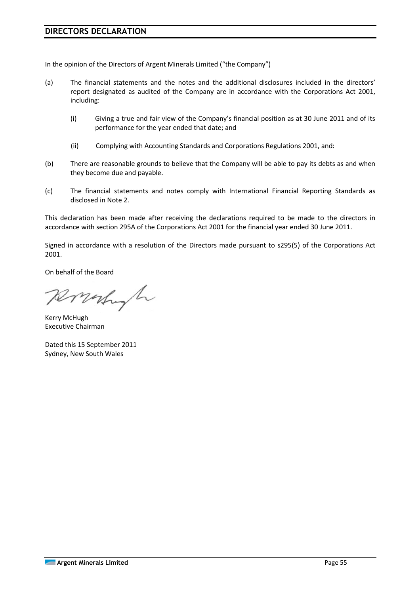## **DIRECTORS DECLARATION**

In the opinion of the Directors of Argent Minerals Limited ("the Company")

- (a) The financial statements and the notes and the additional disclosures included in the directors' report designated as audited of the Company are in accordance with the Corporations Act 2001, including:
	- (i) Giving a true and fair view of the Company's financial position as at 30 June 2011 and of its performance for the year ended that date; and
	- (ii) Complying with Accounting Standards and Corporations Regulations 2001, and:
- (b) There are reasonable grounds to believe that the Company will be able to pay its debts as and when they become due and payable.
- (c) The financial statements and notes comply with International Financial Reporting Standards as disclosed in Note 2.

This declaration has been made after receiving the declarations required to be made to the directors in accordance with section 295A of the Corporations Act 2001 for the financial year ended 30 June 2011.

Signed in accordance with a resolution of the Directors made pursuant to s295(5) of the Corporations Act 2001.

On behalf of the Board

Ronald

Kerry McHugh Executive Chairman

Dated this 15 September 2011 Sydney, New South Wales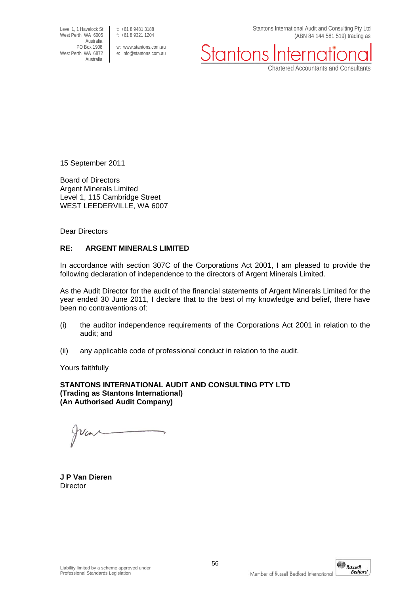Level 1, 1 Havelock St<br>West Perth WA 6005 <br>f: +61 8 9321 1204 West Perth WA 6005 Australia<br>PO Box 1908 Australia

PO Box 1908 w: www.stantons.com.au<br>West Perth WA 6872 e: info@stantons.com.au e: info@stantons.com.au Stantons International Audit and Consulting Pty Ltd (ABN 84 144 581 519) trading as

Stantons

Chartered Accountants and Consultants

15 September 2011

Board of Directors Argent Minerals Limited Level 1, 115 Cambridge Street WEST LEEDERVILLE, WA 6007

Dear Directors

#### **RE: ARGENT MINERALS LIMITED**

In accordance with section 307C of the Corporations Act 2001, I am pleased to provide the following declaration of independence to the directors of Argent Minerals Limited.

As the Audit Director for the audit of the financial statements of Argent Minerals Limited for the year ended 30 June 2011, I declare that to the best of my knowledge and belief, there have been no contraventions of:

- (i) the auditor independence requirements of the Corporations Act 2001 in relation to the audit; and
- (ii) any applicable code of professional conduct in relation to the audit.

Yours faithfully

**STANTONS INTERNATIONAL AUDIT AND CONSULTING PTY LTD (Trading as Stantons International) (An Authorised Audit Company)** 

**J P Van Dieren Director**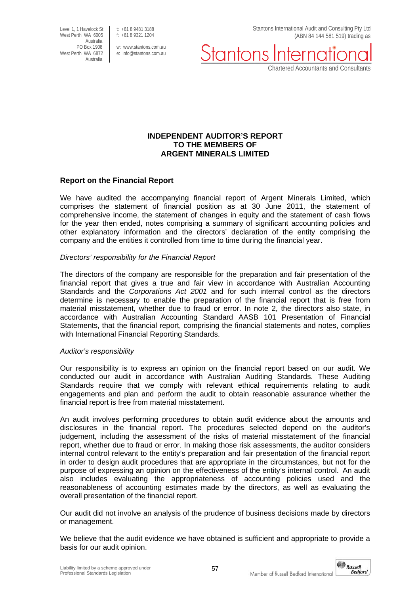Level 1, 1 Havelock St<br>West Perth WA 6005 f: +61 8 9321 1204 West Perth WA 6005 Australia<br>PO Box 1908 PO Box 1908 w: www.stantons.com.au<br>West Perth WA 6872 e: info@stantons.com.au Australia

e: info@stantons.com.au

Stantons International Audit and Consulting Pty Ltd (ABN 84 144 581 519) trading as

Stantons

Chartered Accountants and Consultants

#### **INDEPENDENT AUDITOR'S REPORT TO THE MEMBERS OF ARGENT MINERALS LIMITED**

#### **Report on the Financial Report**

We have audited the accompanying financial report of Argent Minerals Limited, which comprises the statement of financial position as at 30 June 2011, the statement of comprehensive income, the statement of changes in equity and the statement of cash flows for the year then ended, notes comprising a summary of significant accounting policies and other explanatory information and the directors' declaration of the entity comprising the company and the entities it controlled from time to time during the financial year.

#### *Directors' responsibility for the Financial Report*

The directors of the company are responsible for the preparation and fair presentation of the financial report that gives a true and fair view in accordance with Australian Accounting Standards and the *Corporations Act 2001* and for such internal control as the directors determine is necessary to enable the preparation of the financial report that is free from material misstatement, whether due to fraud or error. In note 2, the directors also state, in accordance with Australian Accounting Standard AASB 101 Presentation of Financial Statements, that the financial report, comprising the financial statements and notes, complies with International Financial Reporting Standards.

#### *Auditor's responsibility*

Our responsibility is to express an opinion on the financial report based on our audit. We conducted our audit in accordance with Australian Auditing Standards. These Auditing Standards require that we comply with relevant ethical requirements relating to audit engagements and plan and perform the audit to obtain reasonable assurance whether the financial report is free from material misstatement.

An audit involves performing procedures to obtain audit evidence about the amounts and disclosures in the financial report. The procedures selected depend on the auditor's judgement, including the assessment of the risks of material misstatement of the financial report, whether due to fraud or error. In making those risk assessments, the auditor considers internal control relevant to the entity's preparation and fair presentation of the financial report in order to design audit procedures that are appropriate in the circumstances, but not for the purpose of expressing an opinion on the effectiveness of the entity's internal control. An audit also includes evaluating the appropriateness of accounting policies used and the reasonableness of accounting estimates made by the directors, as well as evaluating the overall presentation of the financial report.

Our audit did not involve an analysis of the prudence of business decisions made by directors or management.

We believe that the audit evidence we have obtained is sufficient and appropriate to provide a basis for our audit opinion.

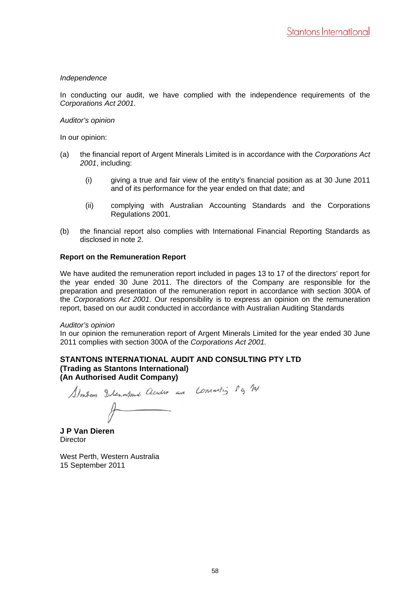#### *Independence*

In conducting our audit, we have complied with the independence requirements of the *Corporations Act 2001*.

#### *Auditor's opinion*

In our opinion:

- (a) the financial report of Argent Minerals Limited is in accordance with the *Corporations Act 2001*, including:
	- (i) giving a true and fair view of the entity's financial position as at 30 June 2011 and of its performance for the year ended on that date; and
	- (ii) complying with Australian Accounting Standards and the Corporations Regulations 2001.
- (b) the financial report also complies with International Financial Reporting Standards as disclosed in note 2.

#### **Report on the Remuneration Report**

We have audited the remuneration report included in pages 13 to 17 of the directors' report for the year ended 30 June 2011. The directors of the Company are responsible for the preparation and presentation of the remuneration report in accordance with section 300A of the *Corporations Act 2001.* Our responsibility is to express an opinion on the remuneration report, based on our audit conducted in accordance with Australian Auditing Standards

#### *Auditor's opinion*

In our opinion the remuneration report of Argent Minerals Limited for the year ended 30 June 2011 complies with section 300A of the *Corporations Act 2001.*

#### **STANTONS INTERNATIONAL AUDIT AND CONSULTING PTY LTD (Trading as Stantons International) (An Authorised Audit Company)**

Stortom International Cleader and Consulting 1 g 14  $\overline{p}$ 

**J P Van Dieren Director** 

West Perth, Western Australia 15 September 2011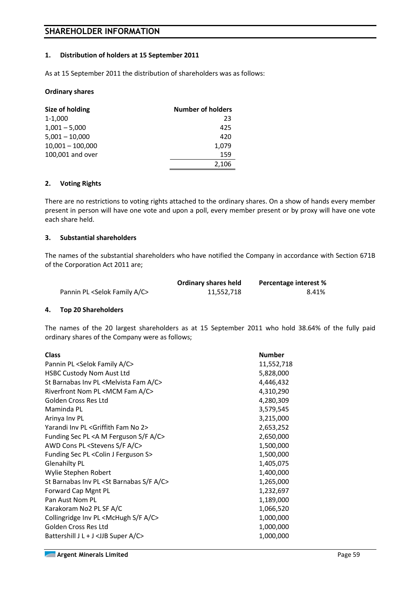## **SHAREHOLDER INFORMATION**

#### **1. Distribution of holders at 15 September 2011**

As at 15 September 2011 the distribution of shareholders was as follows:

#### **Ordinary shares**

| Size of holding    | <b>Number of holders</b> |
|--------------------|--------------------------|
| 1-1,000            | 23                       |
| $1,001 - 5,000$    | 425                      |
| $5,001 - 10,000$   | 420                      |
| $10,001 - 100,000$ | 1,079                    |
| 100,001 and over   | 159                      |
|                    | 2,106                    |

#### **2. Voting Rights**

There are no restrictions to voting rights attached to the ordinary shares. On a show of hands every member present in person will have one vote and upon a poll, every member present or by proxy will have one vote each share held.

#### **3. Substantial shareholders**

The names of the substantial shareholders who have notified the Company in accordance with Section 671B of the Corporation Act 2011 are;

|                                               | <b>Ordinary shares held</b> | Percentage interest % |
|-----------------------------------------------|-----------------------------|-----------------------|
| Pannin PL <selok a="" c="" family=""></selok> | 11,552,718                  | 8.41%                 |

#### **4. Top 20 Shareholders**

The names of the 20 largest shareholders as at 15 September 2011 who hold 38.64% of the fully paid ordinary shares of the Company were as follows;

| <b>Class</b>                                                | <b>Number</b> |
|-------------------------------------------------------------|---------------|
| Pannin PL <selok a="" c="" family=""></selok>               | 11,552,718    |
| <b>HSBC Custody Nom Aust Ltd</b>                            | 5,828,000     |
| St Barnabas Inv PL <melvista a="" c="" fam=""></melvista>   | 4,446,432     |
| Riverfront Nom PL <mcm a="" c="" fam=""></mcm>              | 4,310,290     |
| Golden Cross Res Ltd                                        | 4,280,309     |
| Maminda PL                                                  | 3,579,545     |
| Arinya Inv PL                                               | 3,215,000     |
| Yarandi Inv PL <griffith 2="" fam="" no=""></griffith>      | 2,653,252     |
| Funding Sec PL <a a="" c="" f="" ferguson="" m="" s=""></a> | 2,650,000     |
| AWD Cons PL <stevens a="" c="" f="" s=""></stevens>         | 1,500,000     |
| Funding Sec PL < Colin J Ferguson S>                        | 1,500,000     |
| <b>Glenahilty PL</b>                                        | 1,405,075     |
| Wylie Stephen Robert                                        | 1,400,000     |
| St Barnabas Inv PL < St Barnabas S/F A/C>                   | 1,265,000     |
| Forward Cap Mgnt PL                                         | 1,232,697     |
| Pan Aust Nom PL                                             | 1,189,000     |
| Karakoram No2 PL SF A/C                                     | 1,066,520     |
| Collingridge Inv PL <mchugh a="" c="" f="" s=""></mchugh>   | 1,000,000     |
| Golden Cross Res Ltd                                        | 1,000,000     |
| Battershill J L + J < JJB Super A/C>                        | 1,000,000     |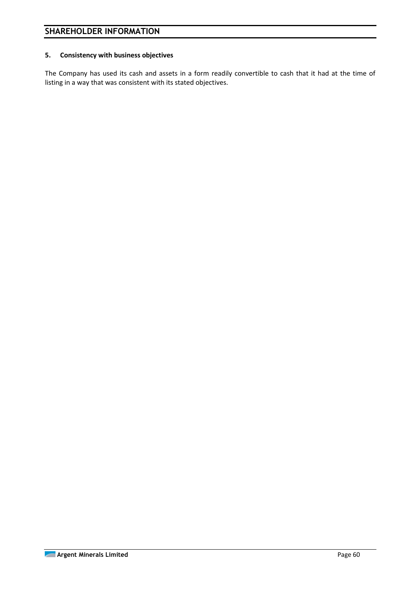#### **5. Consistency with business objectives**

The Company has used its cash and assets in a form readily convertible to cash that it had at the time of listing in a way that was consistent with its stated objectives.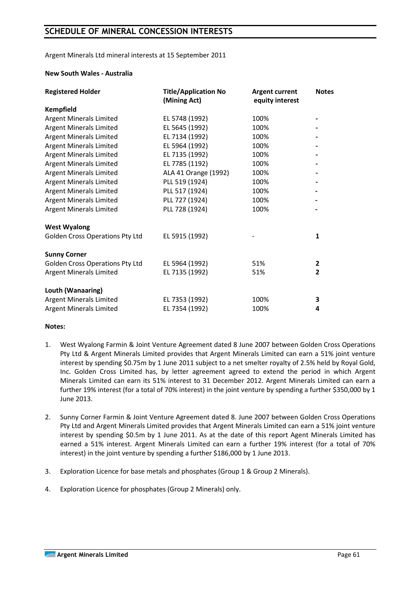## **SCHEDULE OF MINERAL CONCESSION INTERESTS**

Argent Minerals Ltd mineral interests at 15 September 2011

#### **New South Wales - Australia**

| <b>Registered Holder</b>               | <b>Title/Application No</b><br>(Mining Act) | <b>Argent current</b><br>equity interest | <b>Notes</b>   |
|----------------------------------------|---------------------------------------------|------------------------------------------|----------------|
| <b>Kempfield</b>                       |                                             |                                          |                |
| <b>Argent Minerals Limited</b>         | EL 5748 (1992)                              | 100%                                     |                |
| <b>Argent Minerals Limited</b>         | EL 5645 (1992)                              | 100%                                     |                |
| <b>Argent Minerals Limited</b>         | EL 7134 (1992)                              | 100%                                     |                |
| <b>Argent Minerals Limited</b>         | EL 5964 (1992)                              | 100%                                     |                |
| <b>Argent Minerals Limited</b>         | EL 7135 (1992)                              | 100%                                     |                |
| <b>Argent Minerals Limited</b>         | EL 7785 (1192)                              | 100%                                     |                |
| <b>Argent Minerals Limited</b>         | ALA 41 Orange (1992)                        | 100%                                     |                |
| <b>Argent Minerals Limited</b>         | PLL 519 (1924)                              | 100%                                     |                |
| Argent Minerals Limited                | PLL 517 (1924)                              | 100%                                     |                |
| <b>Argent Minerals Limited</b>         | PLL 727 (1924)                              | 100%                                     |                |
| <b>Argent Minerals Limited</b>         | PLL 728 (1924)                              | 100%                                     |                |
| <b>West Wyalong</b>                    |                                             |                                          |                |
| <b>Golden Cross Operations Pty Ltd</b> | EL 5915 (1992)                              |                                          | $\mathbf{1}$   |
| <b>Sunny Corner</b>                    |                                             |                                          |                |
| <b>Golden Cross Operations Pty Ltd</b> | EL 5964 (1992)                              | 51%                                      | $\mathbf{2}$   |
| <b>Argent Minerals Limited</b>         | EL 7135 (1992)                              | 51%                                      | $\overline{2}$ |
| Louth (Wanaaring)                      |                                             |                                          |                |
| <b>Argent Minerals Limited</b>         | EL 7353 (1992)                              | 100%                                     | 3              |
| <b>Argent Minerals Limited</b>         | EL 7354 (1992)                              | 100%                                     | 4              |

#### **Notes:**

- 1. West Wyalong Farmin & Joint Venture Agreement dated 8 June 2007 between Golden Cross Operations Pty Ltd & Argent Minerals Limited provides that Argent Minerals Limited can earn a 51% joint venture interest by spending \$0.75m by 1 June 2011 subject to a net smelter royalty of 2.5% held by Royal Gold, Inc. Golden Cross Limited has, by letter agreement agreed to extend the period in which Argent Minerals Limited can earn its 51% interest to 31 December 2012. Argent Minerals Limited can earn a further 19% interest (for a total of 70% interest) in the joint venture by spending a further \$350,000 by 1 June 2013.
- 2. Sunny Corner Farmin & Joint Venture Agreement dated 8. June 2007 between Golden Cross Operations Pty Ltd and Argent Minerals Limited provides that Argent Minerals Limited can earn a 51% joint venture interest by spending \$0.5m by 1 June 2011. As at the date of this report Agent Minerals Limited has earned a 51% interest. Argent Minerals Limited can earn a further 19% interest (for a total of 70% interest) in the joint venture by spending a further \$186,000 by 1 June 2013.
- 3. Exploration Licence for base metals and phosphates (Group 1 & Group 2 Minerals).
- 4. Exploration Licence for phosphates (Group 2 Minerals) only.